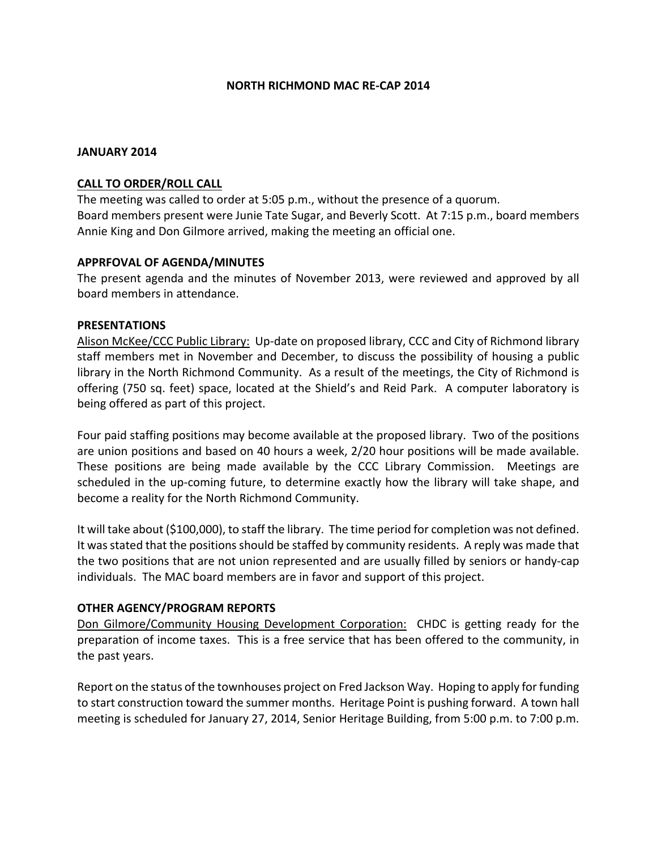#### **NORTH RICHMOND MAC RE-CAP 2014**

#### **JANUARY 2014**

#### **CALL TO ORDER/ROLL CALL**

The meeting was called to order at 5:05 p.m., without the presence of a quorum. Board members present were Junie Tate Sugar, and Beverly Scott. At 7:15 p.m., board members Annie King and Don Gilmore arrived, making the meeting an official one.

## **APPRFOVAL OF AGENDA/MINUTES**

The present agenda and the minutes of November 2013, were reviewed and approved by all board members in attendance.

#### **PRESENTATIONS**

Alison McKee/CCC Public Library: Up-date on proposed library, CCC and City of Richmond library staff members met in November and December, to discuss the possibility of housing a public library in the North Richmond Community. As a result of the meetings, the City of Richmond is offering (750 sq. feet) space, located at the Shield's and Reid Park. A computer laboratory is being offered as part of this project.

Four paid staffing positions may become available at the proposed library. Two of the positions are union positions and based on 40 hours a week, 2/20 hour positions will be made available. These positions are being made available by the CCC Library Commission. Meetings are scheduled in the up-coming future, to determine exactly how the library will take shape, and become a reality for the North Richmond Community.

It will take about (\$100,000), to staff the library. The time period for completion was not defined. It was stated that the positions should be staffed by community residents. A reply was made that the two positions that are not union represented and are usually filled by seniors or handy-cap individuals. The MAC board members are in favor and support of this project.

## **OTHER AGENCY/PROGRAM REPORTS**

Don Gilmore/Community Housing Development Corporation: CHDC is getting ready for the preparation of income taxes. This is a free service that has been offered to the community, in the past years.

Report on the status of the townhouses project on Fred Jackson Way. Hoping to apply for funding to start construction toward the summer months. Heritage Point is pushing forward. A town hall meeting is scheduled for January 27, 2014, Senior Heritage Building, from 5:00 p.m. to 7:00 p.m.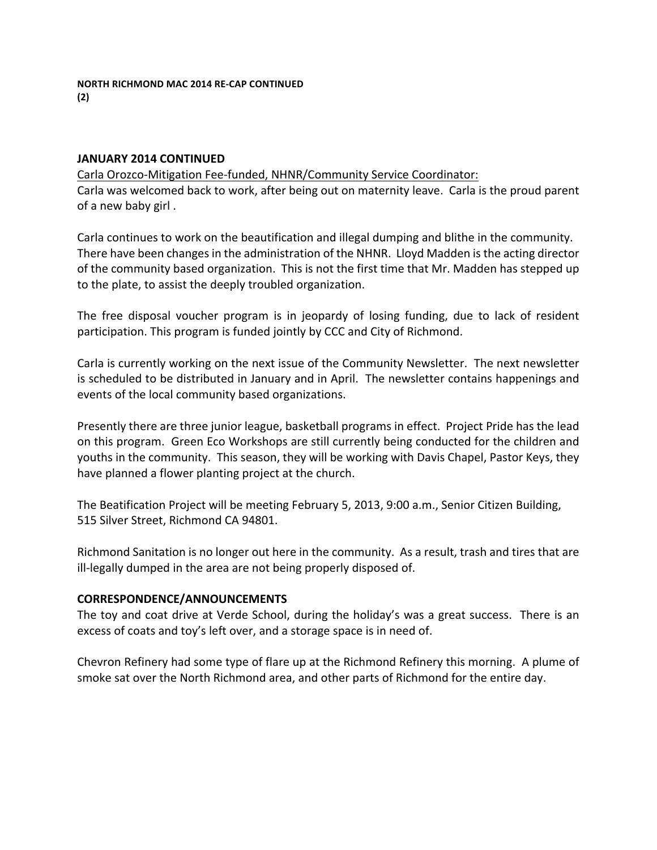## **JANUARY 2014 CONTINUED**

Carla Orozco-Mitigation Fee-funded, NHNR/Community Service Coordinator:

Carla was welcomed back to work, after being out on maternity leave. Carla is the proud parent of a new baby girl.

Carla continues to work on the beautification and illegal dumping and blithe in the community. There have been changes in the administration of the NHNR. Lloyd Madden is the acting director of the community based organization. This is not the first time that Mr. Madden has stepped up to the plate, to assist the deeply troubled organization.

The free disposal voucher program is in jeopardy of losing funding, due to lack of resident participation. This program is funded jointly by CCC and City of Richmond.

Carla is currently working on the next issue of the Community Newsletter. The next newsletter is scheduled to be distributed in January and in April. The newsletter contains happenings and events of the local community based organizations.

Presently there are three junior league, basketball programs in effect. Project Pride has the lead on this program. Green Eco Workshops are still currently being conducted for the children and youths in the community. This season, they will be working with Davis Chapel, Pastor Keys, they have planned a flower planting project at the church.

The Beatification Project will be meeting February 5, 2013, 9:00 a.m., Senior Citizen Building, 515 Silver Street, Richmond CA 94801.

Richmond Sanitation is no longer out here in the community. As a result, trash and tires that are ill-legally dumped in the area are not being properly disposed of.

## **CORRESPONDENCE/ANNOUNCEMENTS**

The toy and coat drive at Verde School, during the holiday's was a great success. There is an excess of coats and toy's left over, and a storage space is in need of.

Chevron Refinery had some type of flare up at the Richmond Refinery this morning. A plume of smoke sat over the North Richmond area, and other parts of Richmond for the entire day.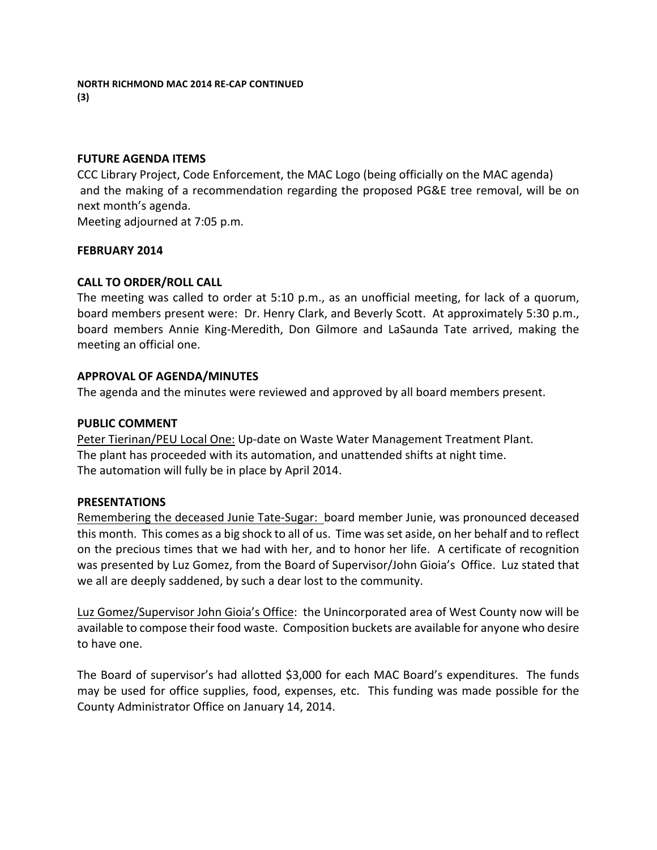#### **FUTURE AGENDA ITEMS**

CCC Library Project, Code Enforcement, the MAC Logo (being officially on the MAC agenda) and the making of a recommendation regarding the proposed PG&E tree removal, will be on next month's agenda.

Meeting adjourned at 7:05 p.m.

#### **FEBRUARY 2014**

## **CALL TO ORDER/ROLL CALL**

The meeting was called to order at  $5:10$  p.m., as an unofficial meeting, for lack of a quorum, board members present were: Dr. Henry Clark, and Beverly Scott. At approximately 5:30 p.m., board members Annie King-Meredith, Don Gilmore and LaSaunda Tate arrived, making the meeting an official one.

#### **APPROVAL OF AGENDA/MINUTES**

The agenda and the minutes were reviewed and approved by all board members present.

#### **PUBLIC COMMENT**

Peter Tierinan/PEU Local One: Up-date on Waste Water Management Treatment Plant. The plant has proceeded with its automation, and unattended shifts at night time. The automation will fully be in place by April 2014.

#### **PRESENTATIONS**

Remembering the deceased Junie Tate-Sugar: board member Junie, was pronounced deceased this month. This comes as a big shock to all of us. Time was set aside, on her behalf and to reflect on the precious times that we had with her, and to honor her life. A certificate of recognition was presented by Luz Gomez, from the Board of Supervisor/John Gioia's Office. Luz stated that we all are deeply saddened, by such a dear lost to the community.

Luz Gomez/Supervisor John Gioia's Office: the Unincorporated area of West County now will be available to compose their food waste. Composition buckets are available for anyone who desire to have one.

The Board of supervisor's had allotted \$3,000 for each MAC Board's expenditures. The funds may be used for office supplies, food, expenses, etc. This funding was made possible for the County Administrator Office on January 14, 2014.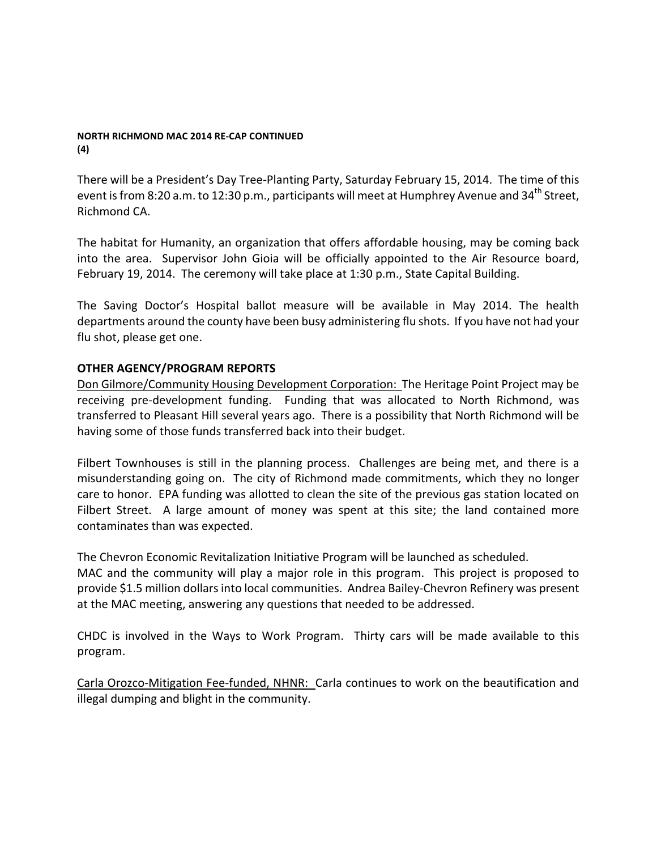#### **NORTH RICHMOND MAC 2014 RE-CAP CONTINUED (4)**

There will be a President's Day Tree-Planting Party, Saturday February 15, 2014. The time of this event is from 8:20 a.m. to 12:30 p.m., participants will meet at Humphrey Avenue and  $34<sup>th</sup>$  Street, Richmond CA.

The habitat for Humanity, an organization that offers affordable housing, may be coming back into the area. Supervisor John Gioia will be officially appointed to the Air Resource board, February 19, 2014. The ceremony will take place at 1:30 p.m., State Capital Building.

The Saving Doctor's Hospital ballot measure will be available in May 2014. The health departments around the county have been busy administering flu shots. If you have not had your flu shot, please get one.

# **OTHER AGENCY/PROGRAM REPORTS**

Don Gilmore/Community Housing Development Corporation: The Heritage Point Project may be receiving pre-development funding. Funding that was allocated to North Richmond, was transferred to Pleasant Hill several years ago. There is a possibility that North Richmond will be having some of those funds transferred back into their budget.

Filbert Townhouses is still in the planning process. Challenges are being met, and there is a misunderstanding going on. The city of Richmond made commitments, which they no longer care to honor. EPA funding was allotted to clean the site of the previous gas station located on Filbert Street. A large amount of money was spent at this site; the land contained more contaminates than was expected.

The Chevron Economic Revitalization Initiative Program will be launched as scheduled.

MAC and the community will play a major role in this program. This project is proposed to provide \$1.5 million dollars into local communities. Andrea Bailey-Chevron Refinery was present at the MAC meeting, answering any questions that needed to be addressed.

CHDC is involved in the Ways to Work Program. Thirty cars will be made available to this program. 

Carla Orozco-Mitigation Fee-funded, NHNR: Carla continues to work on the beautification and illegal dumping and blight in the community.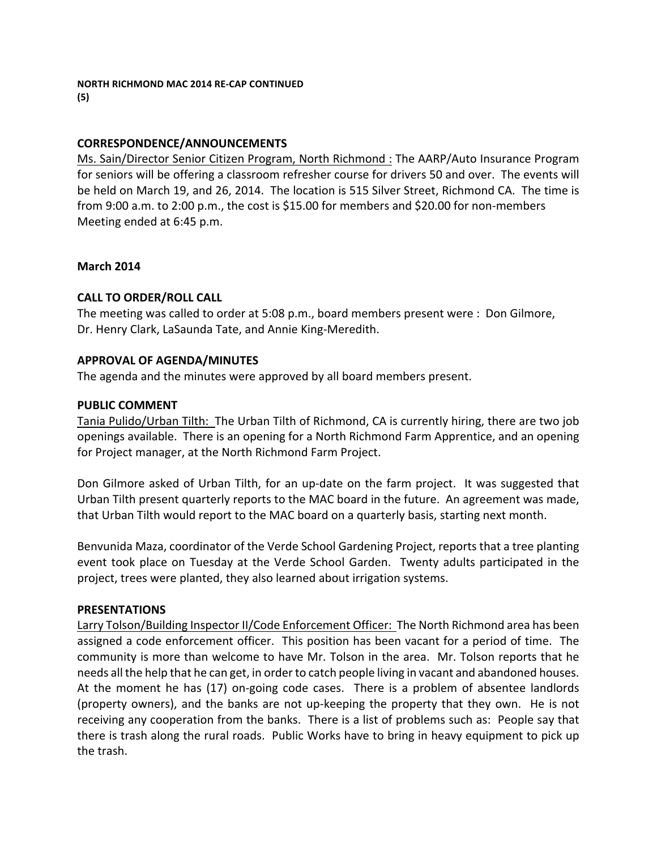# **CORRESPONDENCE/ANNOUNCEMENTS**

Ms. Sain/Director Senior Citizen Program, North Richmond : The AARP/Auto Insurance Program for seniors will be offering a classroom refresher course for drivers 50 and over. The events will be held on March 19, and 26, 2014. The location is 515 Silver Street, Richmond CA. The time is from 9:00 a.m. to 2:00 p.m., the cost is \$15.00 for members and \$20.00 for non-members Meeting ended at 6:45 p.m.

## **March 2014**

# **CALL TO ORDER/ROLL CALL**

The meeting was called to order at 5:08 p.m., board members present were : Don Gilmore, Dr. Henry Clark, LaSaunda Tate, and Annie King-Meredith.

## **APPROVAL OF AGENDA/MINUTES**

The agenda and the minutes were approved by all board members present.

## **PUBLIC COMMENT**

Tania Pulido/Urban Tilth: The Urban Tilth of Richmond, CA is currently hiring, there are two job openings available. There is an opening for a North Richmond Farm Apprentice, and an opening for Project manager, at the North Richmond Farm Project.

Don Gilmore asked of Urban Tilth, for an up-date on the farm project. It was suggested that Urban Tilth present quarterly reports to the MAC board in the future. An agreement was made, that Urban Tilth would report to the MAC board on a quarterly basis, starting next month.

Benvunida Maza, coordinator of the Verde School Gardening Project, reports that a tree planting event took place on Tuesday at the Verde School Garden. Twenty adults participated in the project, trees were planted, they also learned about irrigation systems.

## **PRESENTATIONS**

Larry Tolson/Building Inspector II/Code Enforcement Officer: The North Richmond area has been assigned a code enforcement officer. This position has been vacant for a period of time. The community is more than welcome to have Mr. Tolson in the area. Mr. Tolson reports that he needs all the help that he can get, in order to catch people living in vacant and abandoned houses. At the moment he has (17) on-going code cases. There is a problem of absentee landlords (property owners), and the banks are not up-keeping the property that they own. He is not receiving any cooperation from the banks. There is a list of problems such as: People say that there is trash along the rural roads. Public Works have to bring in heavy equipment to pick up the trash.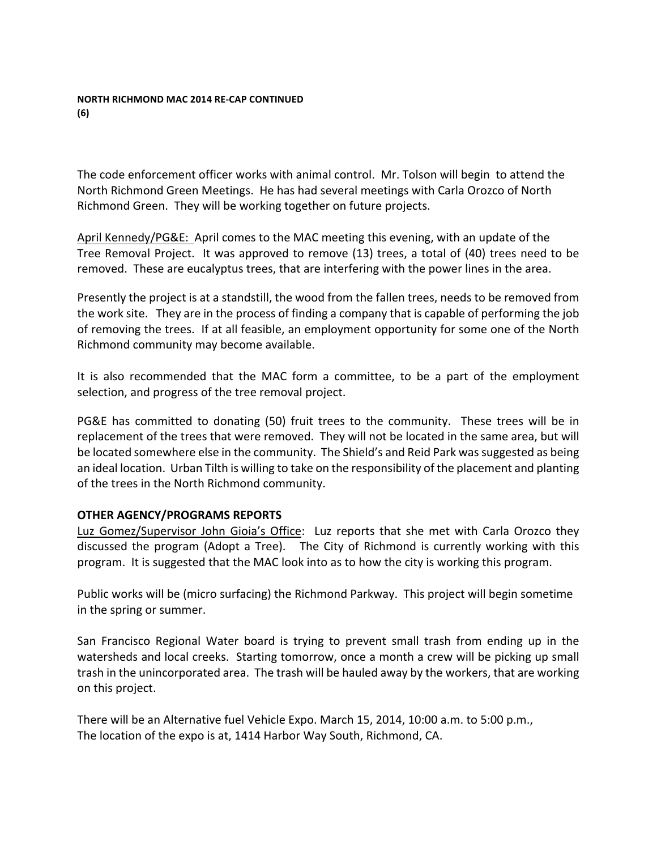#### **NORTH RICHMOND MAC 2014 RE-CAP CONTINUED (6)**

The code enforcement officer works with animal control. Mr. Tolson will begin to attend the North Richmond Green Meetings. He has had several meetings with Carla Orozco of North Richmond Green. They will be working together on future projects.

April Kennedy/PG&E: April comes to the MAC meeting this evening, with an update of the Tree Removal Project. It was approved to remove (13) trees, a total of (40) trees need to be removed. These are eucalyptus trees, that are interfering with the power lines in the area.

Presently the project is at a standstill, the wood from the fallen trees, needs to be removed from the work site. They are in the process of finding a company that is capable of performing the job of removing the trees. If at all feasible, an employment opportunity for some one of the North Richmond community may become available.

It is also recommended that the MAC form a committee, to be a part of the employment selection, and progress of the tree removal project.

PG&E has committed to donating (50) fruit trees to the community. These trees will be in replacement of the trees that were removed. They will not be located in the same area, but will be located somewhere else in the community. The Shield's and Reid Park was suggested as being an ideal location. Urban Tilth is willing to take on the responsibility of the placement and planting of the trees in the North Richmond community.

# **OTHER AGENCY/PROGRAMS REPORTS**

Luz Gomez/Supervisor John Gioia's Office: Luz reports that she met with Carla Orozco they discussed the program (Adopt a Tree). The City of Richmond is currently working with this program. It is suggested that the MAC look into as to how the city is working this program.

Public works will be (micro surfacing) the Richmond Parkway. This project will begin sometime in the spring or summer.

San Francisco Regional Water board is trying to prevent small trash from ending up in the watersheds and local creeks. Starting tomorrow, once a month a crew will be picking up small trash in the unincorporated area. The trash will be hauled away by the workers, that are working on this project.

There will be an Alternative fuel Vehicle Expo. March 15, 2014, 10:00 a.m. to 5:00 p.m., The location of the expo is at, 1414 Harbor Way South, Richmond, CA.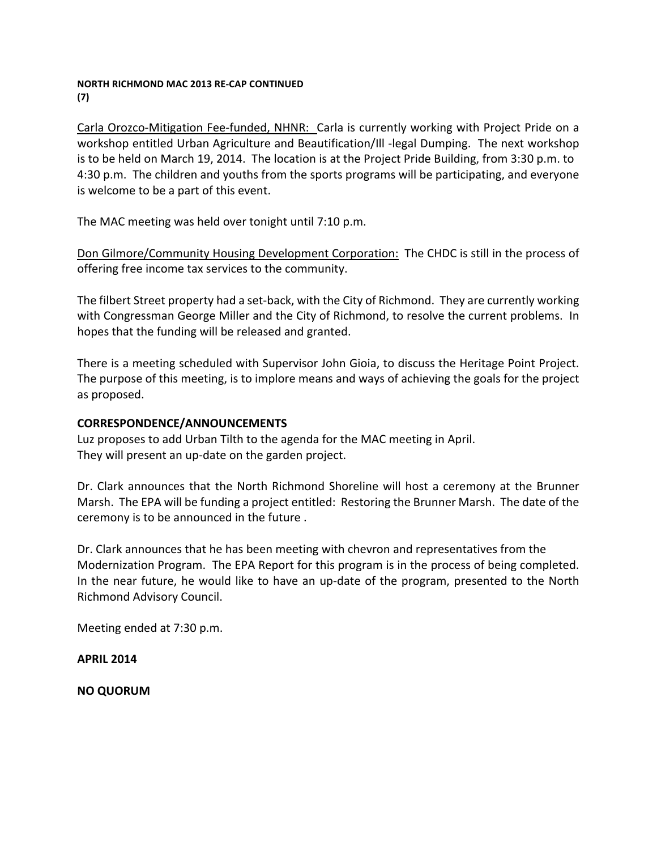#### **NORTH RICHMOND MAC 2013 RE-CAP CONTINUED (7)**

Carla Orozco-Mitigation Fee-funded, NHNR: Carla is currently working with Project Pride on a workshop entitled Urban Agriculture and Beautification/Ill -legal Dumping. The next workshop is to be held on March 19, 2014. The location is at the Project Pride Building, from 3:30 p.m. to 4:30 p.m. The children and youths from the sports programs will be participating, and everyone is welcome to be a part of this event.

The MAC meeting was held over tonight until 7:10 p.m.

Don Gilmore/Community Housing Development Corporation: The CHDC is still in the process of offering free income tax services to the community.

The filbert Street property had a set-back, with the City of Richmond. They are currently working with Congressman George Miller and the City of Richmond, to resolve the current problems. In hopes that the funding will be released and granted.

There is a meeting scheduled with Supervisor John Gioia, to discuss the Heritage Point Project. The purpose of this meeting, is to implore means and ways of achieving the goals for the project as proposed.

## **CORRESPONDENCE/ANNOUNCEMENTS**

Luz proposes to add Urban Tilth to the agenda for the MAC meeting in April. They will present an up-date on the garden project.

Dr. Clark announces that the North Richmond Shoreline will host a ceremony at the Brunner Marsh. The EPA will be funding a project entitled: Restoring the Brunner Marsh. The date of the ceremony is to be announced in the future.

Dr. Clark announces that he has been meeting with chevron and representatives from the Modernization Program. The EPA Report for this program is in the process of being completed. In the near future, he would like to have an up-date of the program, presented to the North Richmond Advisory Council.

Meeting ended at 7:30 p.m.

**APRIL 2014**

**NO QUORUM**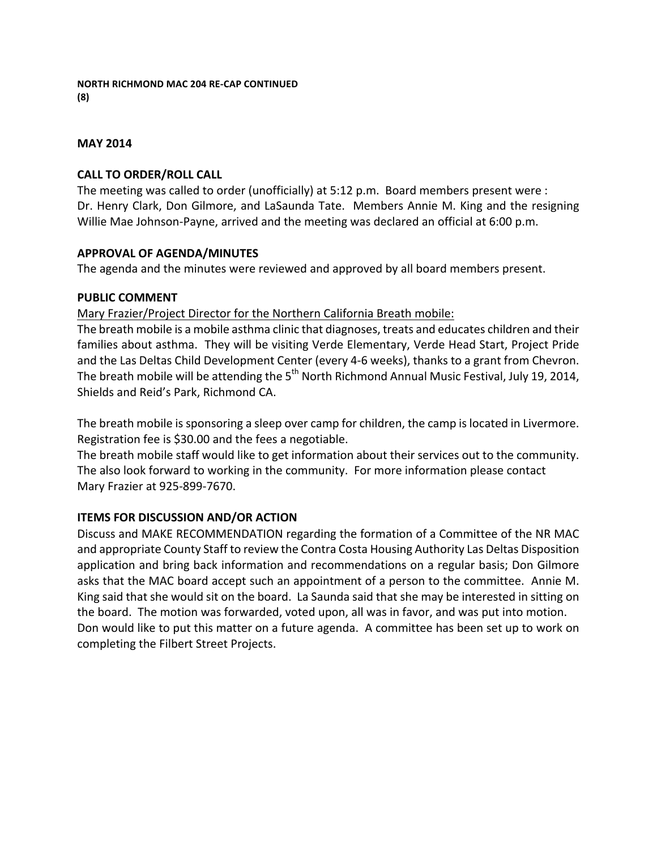# **MAY 2014**

# **CALL TO ORDER/ROLL CALL**

The meeting was called to order (unofficially) at 5:12 p.m. Board members present were : Dr. Henry Clark, Don Gilmore, and LaSaunda Tate. Members Annie M. King and the resigning Willie Mae Johnson-Payne, arrived and the meeting was declared an official at 6:00 p.m.

# **APPROVAL OF AGENDA/MINUTES**

The agenda and the minutes were reviewed and approved by all board members present.

# **PUBLIC COMMENT**

Mary Frazier/Project Director for the Northern California Breath mobile:

The breath mobile is a mobile asthma clinic that diagnoses, treats and educates children and their families about asthma. They will be visiting Verde Elementary, Verde Head Start, Project Pride and the Las Deltas Child Development Center (every 4-6 weeks), thanks to a grant from Chevron. The breath mobile will be attending the  $5<sup>th</sup>$  North Richmond Annual Music Festival, July 19, 2014, Shields and Reid's Park, Richmond CA.

The breath mobile is sponsoring a sleep over camp for children, the camp is located in Livermore. Registration fee is \$30.00 and the fees a negotiable.

The breath mobile staff would like to get information about their services out to the community. The also look forward to working in the community. For more information please contact Mary Frazier at 925-899-7670.

# **ITEMS FOR DISCUSSION AND/OR ACTION**

Discuss and MAKE RECOMMENDATION regarding the formation of a Committee of the NR MAC and appropriate County Staff to review the Contra Costa Housing Authority Las Deltas Disposition application and bring back information and recommendations on a regular basis; Don Gilmore asks that the MAC board accept such an appointment of a person to the committee. Annie M. King said that she would sit on the board. La Saunda said that she may be interested in sitting on the board. The motion was forwarded, voted upon, all was in favor, and was put into motion. Don would like to put this matter on a future agenda. A committee has been set up to work on completing the Filbert Street Projects.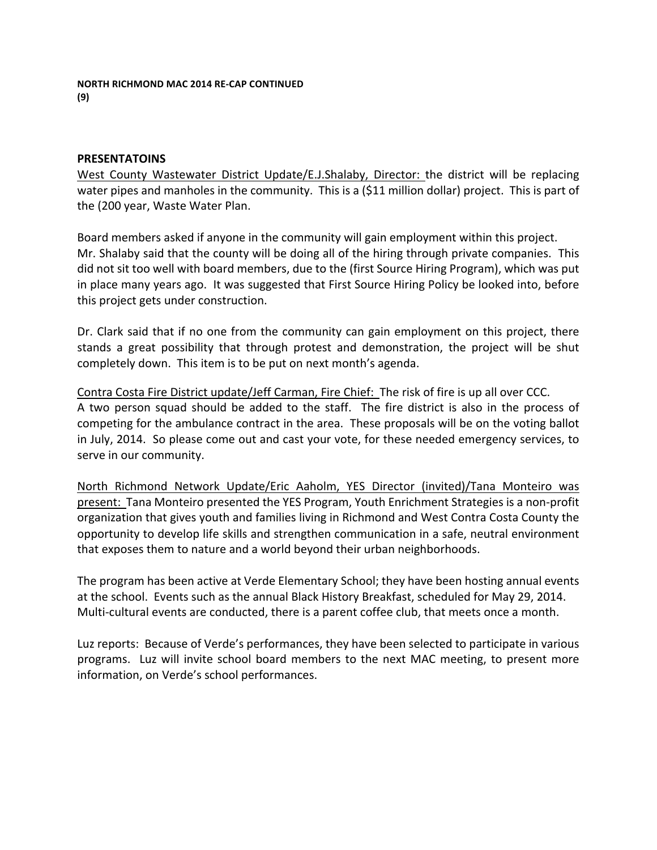#### **PRESENTATOINS**

West County Wastewater District Update/E.J.Shalaby, Director: the district will be replacing water pipes and manholes in the community. This is a (\$11 million dollar) project. This is part of the (200 year, Waste Water Plan.

Board members asked if anyone in the community will gain employment within this project. Mr. Shalaby said that the county will be doing all of the hiring through private companies. This did not sit too well with board members, due to the (first Source Hiring Program), which was put in place many years ago. It was suggested that First Source Hiring Policy be looked into, before this project gets under construction.

Dr. Clark said that if no one from the community can gain employment on this project, there stands a great possibility that through protest and demonstration, the project will be shut completely down. This item is to be put on next month's agenda.

Contra Costa Fire District update/Jeff Carman, Fire Chief: The risk of fire is up all over CCC. A two person squad should be added to the staff. The fire district is also in the process of competing for the ambulance contract in the area. These proposals will be on the voting ballot in July, 2014. So please come out and cast your vote, for these needed emergency services, to serve in our community.

North Richmond Network Update/Eric Aaholm, YES Director (invited)/Tana Monteiro was present: Tana Monteiro presented the YES Program, Youth Enrichment Strategies is a non-profit organization that gives youth and families living in Richmond and West Contra Costa County the opportunity to develop life skills and strengthen communication in a safe, neutral environment that exposes them to nature and a world beyond their urban neighborhoods.

The program has been active at Verde Elementary School; they have been hosting annual events at the school. Events such as the annual Black History Breakfast, scheduled for May 29, 2014. Multi-cultural events are conducted, there is a parent coffee club, that meets once a month.

Luz reports: Because of Verde's performances, they have been selected to participate in various programs. Luz will invite school board members to the next MAC meeting, to present more information, on Verde's school performances.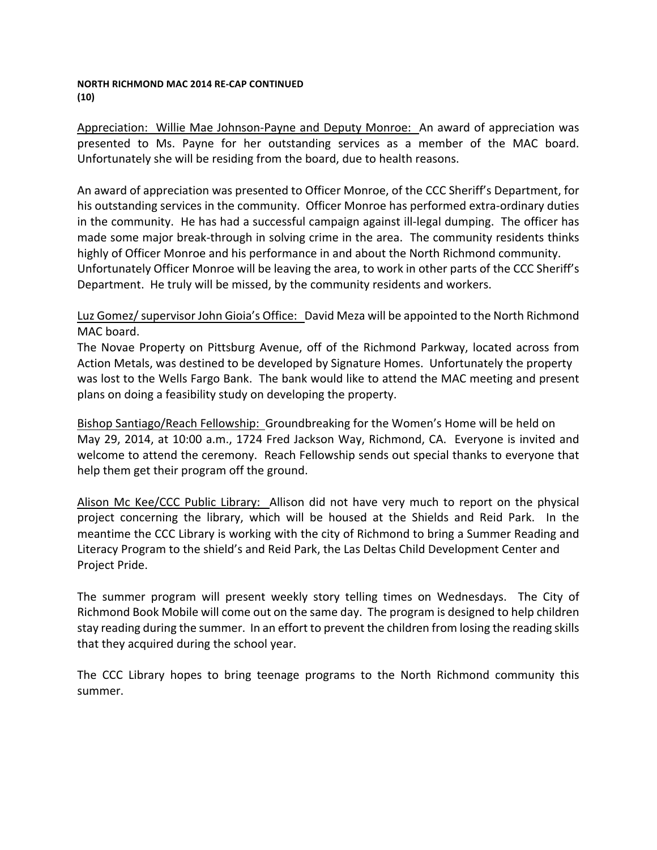#### **NORTH RICHMOND MAC 2014 RE-CAP CONTINUED (10)**

Appreciation: Willie Mae Johnson-Payne and Deputy Monroe: An award of appreciation was presented to Ms. Payne for her outstanding services as a member of the MAC board. Unfortunately she will be residing from the board, due to health reasons.

An award of appreciation was presented to Officer Monroe, of the CCC Sheriff's Department, for his outstanding services in the community. Officer Monroe has performed extra-ordinary duties in the community. He has had a successful campaign against ill-legal dumping. The officer has made some major break-through in solving crime in the area. The community residents thinks highly of Officer Monroe and his performance in and about the North Richmond community. Unfortunately Officer Monroe will be leaving the area, to work in other parts of the CCC Sheriff's Department. He truly will be missed, by the community residents and workers.

# Luz Gomez/ supervisor John Gioia's Office: David Meza will be appointed to the North Richmond MAC board.

The Novae Property on Pittsburg Avenue, off of the Richmond Parkway, located across from Action Metals, was destined to be developed by Signature Homes. Unfortunately the property was lost to the Wells Fargo Bank. The bank would like to attend the MAC meeting and present plans on doing a feasibility study on developing the property.

Bishop Santiago/Reach Fellowship: Groundbreaking for the Women's Home will be held on May 29, 2014, at 10:00 a.m., 1724 Fred Jackson Way, Richmond, CA. Everyone is invited and welcome to attend the ceremony. Reach Fellowship sends out special thanks to everyone that help them get their program off the ground.

Alison Mc Kee/CCC Public Library: Allison did not have very much to report on the physical project concerning the library, which will be housed at the Shields and Reid Park. In the meantime the CCC Library is working with the city of Richmond to bring a Summer Reading and Literacy Program to the shield's and Reid Park, the Las Deltas Child Development Center and Project Pride.

The summer program will present weekly story telling times on Wednesdays. The City of Richmond Book Mobile will come out on the same day. The program is designed to help children stay reading during the summer. In an effort to prevent the children from losing the reading skills that they acquired during the school year.

The CCC Library hopes to bring teenage programs to the North Richmond community this summer.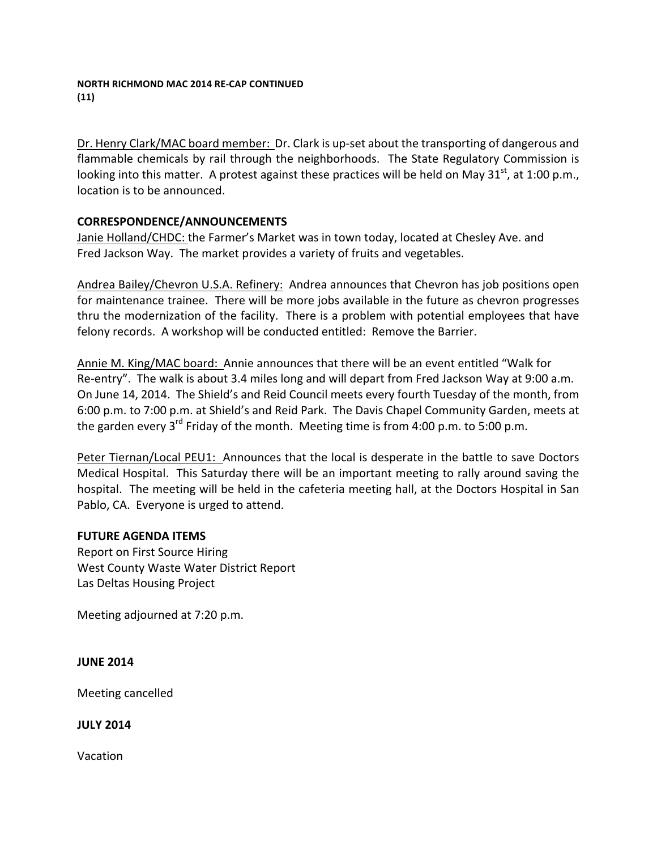Dr. Henry Clark/MAC board member: Dr. Clark is up-set about the transporting of dangerous and flammable chemicals by rail through the neighborhoods. The State Regulatory Commission is looking into this matter. A protest against these practices will be held on May 31<sup>st</sup>, at 1:00 p.m., location is to be announced.

# **CORRESPONDENCE/ANNOUNCEMENTS**

Janie Holland/CHDC: the Farmer's Market was in town today, located at Chesley Ave. and Fred Jackson Way. The market provides a variety of fruits and vegetables.

Andrea Bailey/Chevron U.S.A. Refinery: Andrea announces that Chevron has job positions open for maintenance trainee. There will be more jobs available in the future as chevron progresses thru the modernization of the facility. There is a problem with potential employees that have felony records. A workshop will be conducted entitled: Remove the Barrier.

Annie M. King/MAC board: Annie announces that there will be an event entitled "Walk for Re-entry". The walk is about 3.4 miles long and will depart from Fred Jackson Way at 9:00 a.m. On June 14, 2014. The Shield's and Reid Council meets every fourth Tuesday of the month, from 6:00 p.m. to 7:00 p.m. at Shield's and Reid Park. The Davis Chapel Community Garden, meets at the garden every  $3^{rd}$  Friday of the month. Meeting time is from 4:00 p.m. to 5:00 p.m.

Peter Tiernan/Local PEU1: Announces that the local is desperate in the battle to save Doctors Medical Hospital. This Saturday there will be an important meeting to rally around saving the hospital. The meeting will be held in the cafeteria meeting hall, at the Doctors Hospital in San Pablo, CA. Everyone is urged to attend.

# **FUTURE AGENDA ITEMS**

Report on First Source Hiring West County Waste Water District Report Las Deltas Housing Project

Meeting adjourned at 7:20 p.m.

# **JUNE 2014**

Meeting cancelled

# **JULY 2014**

Vacation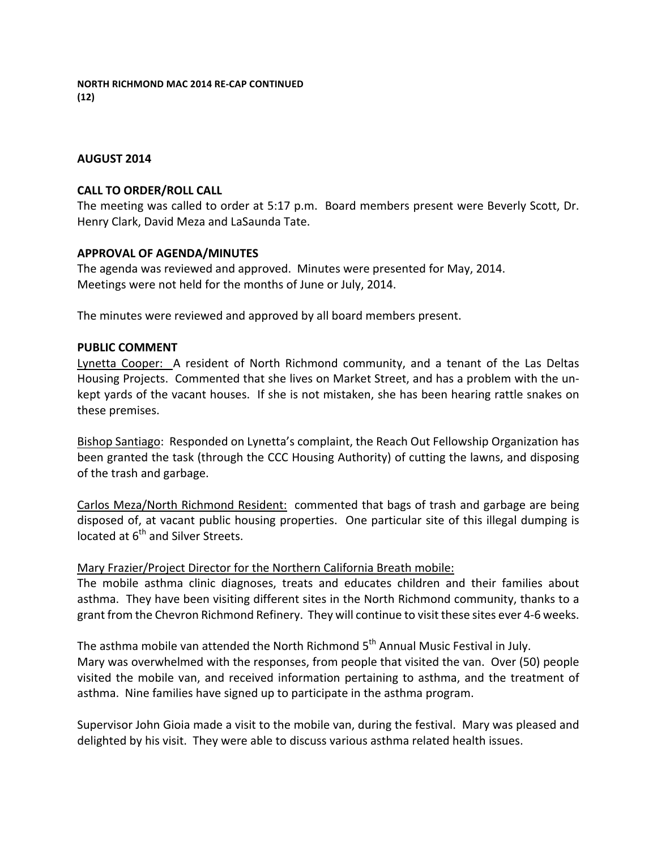**NORTH RICHMOND MAC 2014 RE-CAP CONTINUED (12)**

#### **AUGUST 2014**

#### **CALL TO ORDER/ROLL CALL**

The meeting was called to order at 5:17 p.m. Board members present were Beverly Scott, Dr. Henry Clark, David Meza and LaSaunda Tate.

#### **APPROVAL OF AGENDA/MINUTES**

The agenda was reviewed and approved. Minutes were presented for May, 2014. Meetings were not held for the months of June or July, 2014.

The minutes were reviewed and approved by all board members present.

#### **PUBLIC COMMENT**

Lynetta Cooper: A resident of North Richmond community, and a tenant of the Las Deltas Housing Projects. Commented that she lives on Market Street, and has a problem with the unkept yards of the vacant houses. If she is not mistaken, she has been hearing rattle snakes on these premises.

Bishop Santiago: Responded on Lynetta's complaint, the Reach Out Fellowship Organization has been granted the task (through the CCC Housing Authority) of cutting the lawns, and disposing of the trash and garbage.

Carlos Meza/North Richmond Resident: commented that bags of trash and garbage are being disposed of, at vacant public housing properties. One particular site of this illegal dumping is located at  $6^{th}$  and Silver Streets.

## Mary Frazier/Project Director for the Northern California Breath mobile:

The mobile asthma clinic diagnoses, treats and educates children and their families about asthma. They have been visiting different sites in the North Richmond community, thanks to a grant from the Chevron Richmond Refinery. They will continue to visit these sites ever 4-6 weeks.

The asthma mobile van attended the North Richmond  $5<sup>th</sup>$  Annual Music Festival in July. Mary was overwhelmed with the responses, from people that visited the van. Over (50) people visited the mobile van, and received information pertaining to asthma, and the treatment of asthma. Nine families have signed up to participate in the asthma program.

Supervisor John Gioia made a visit to the mobile van, during the festival. Mary was pleased and delighted by his visit. They were able to discuss various asthma related health issues.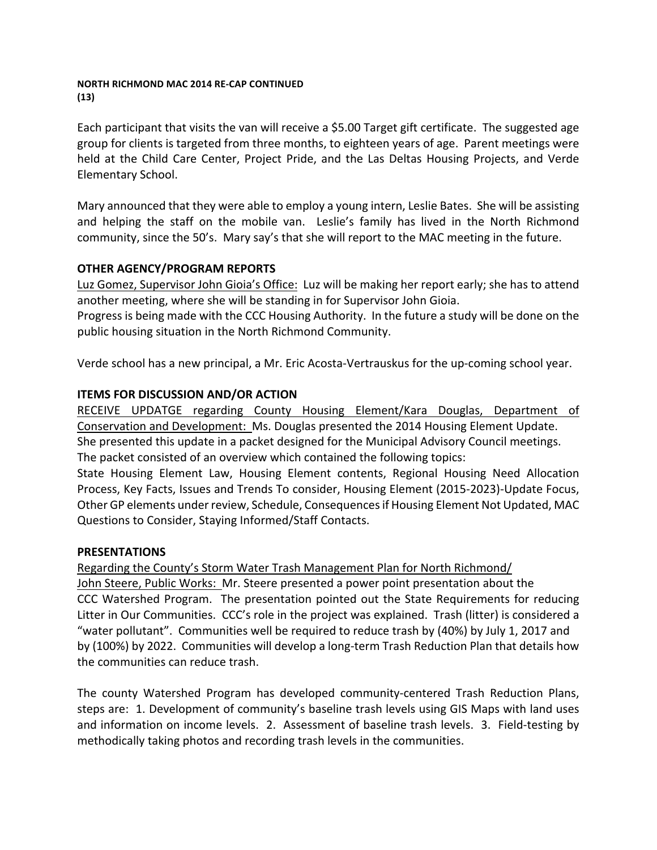#### **NORTH RICHMOND MAC 2014 RE-CAP CONTINUED (13)**

Each participant that visits the van will receive a \$5.00 Target gift certificate. The suggested age group for clients is targeted from three months, to eighteen years of age. Parent meetings were held at the Child Care Center, Project Pride, and the Las Deltas Housing Projects, and Verde Elementary School. 

Mary announced that they were able to employ a young intern, Leslie Bates. She will be assisting and helping the staff on the mobile van. Leslie's family has lived in the North Richmond community, since the 50's. Mary say's that she will report to the MAC meeting in the future.

# **OTHER AGENCY/PROGRAM REPORTS**

Luz Gomez, Supervisor John Gioia's Office: Luz will be making her report early; she has to attend another meeting, where she will be standing in for Supervisor John Gioia.

Progress is being made with the CCC Housing Authority. In the future a study will be done on the public housing situation in the North Richmond Community.

Verde school has a new principal, a Mr. Eric Acosta-Vertrauskus for the up-coming school year.

# **ITEMS FOR DISCUSSION AND/OR ACTION**

RECEIVE UPDATGE regarding County Housing Element/Kara Douglas, Department of Conservation and Development: Ms. Douglas presented the 2014 Housing Element Update. She presented this update in a packet designed for the Municipal Advisory Council meetings. The packet consisted of an overview which contained the following topics:

State Housing Element Law, Housing Element contents, Regional Housing Need Allocation Process, Key Facts, Issues and Trends To consider, Housing Element (2015-2023)-Update Focus, Other GP elements under review, Schedule, Consequences if Housing Element Not Updated, MAC Questions to Consider, Staying Informed/Staff Contacts.

# **PRESENTATIONS**

Regarding the County's Storm Water Trash Management Plan for North Richmond/ John Steere, Public Works: Mr. Steere presented a power point presentation about the CCC Watershed Program. The presentation pointed out the State Requirements for reducing Litter in Our Communities. CCC's role in the project was explained. Trash (litter) is considered a "water pollutant". Communities well be required to reduce trash by (40%) by July 1, 2017 and by (100%) by 2022. Communities will develop a long-term Trash Reduction Plan that details how the communities can reduce trash.

The county Watershed Program has developed community-centered Trash Reduction Plans, steps are: 1. Development of community's baseline trash levels using GIS Maps with land uses and information on income levels. 2. Assessment of baseline trash levels. 3. Field-testing by methodically taking photos and recording trash levels in the communities.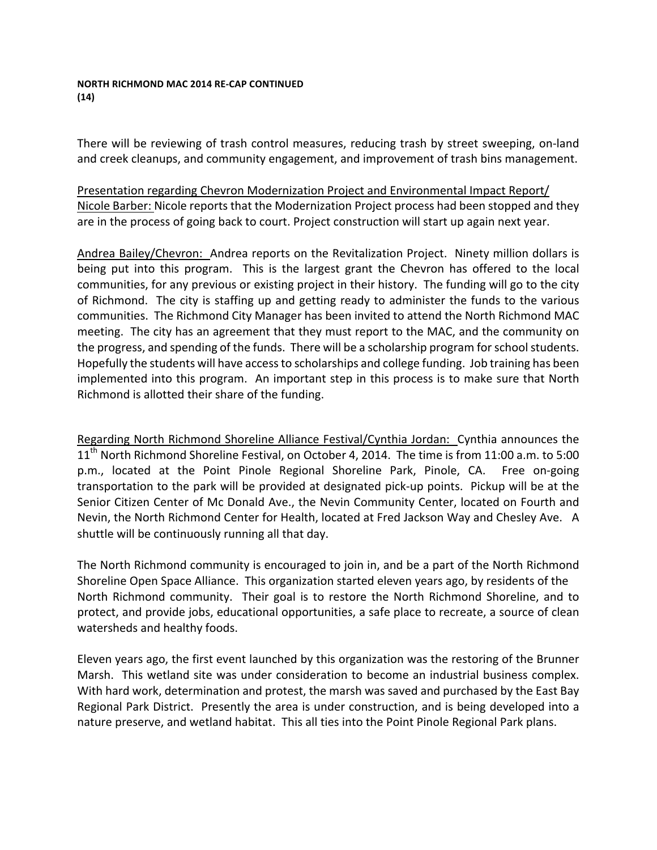#### **NORTH RICHMOND MAC 2014 RE-CAP CONTINUED (14)**

There will be reviewing of trash control measures, reducing trash by street sweeping, on-land and creek cleanups, and community engagement, and improvement of trash bins management.

Presentation regarding Chevron Modernization Project and Environmental Impact Report/ Nicole Barber: Nicole reports that the Modernization Project process had been stopped and they are in the process of going back to court. Project construction will start up again next year.

Andrea Bailey/Chevron: Andrea reports on the Revitalization Project. Ninety million dollars is being put into this program. This is the largest grant the Chevron has offered to the local communities, for any previous or existing project in their history. The funding will go to the city of Richmond. The city is staffing up and getting ready to administer the funds to the various communities. The Richmond City Manager has been invited to attend the North Richmond MAC meeting. The city has an agreement that they must report to the MAC, and the community on the progress, and spending of the funds. There will be a scholarship program for school students. Hopefully the students will have access to scholarships and college funding. Job training has been implemented into this program. An important step in this process is to make sure that North Richmond is allotted their share of the funding.

Regarding North Richmond Shoreline Alliance Festival/Cynthia Jordan: Cynthia announces the  $11<sup>th</sup>$  North Richmond Shoreline Festival, on October 4, 2014. The time is from 11:00 a.m. to 5:00 p.m., located at the Point Pinole Regional Shoreline Park, Pinole, CA. Free on-going transportation to the park will be provided at designated pick-up points. Pickup will be at the Senior Citizen Center of Mc Donald Ave., the Nevin Community Center, located on Fourth and Nevin, the North Richmond Center for Health, located at Fred Jackson Way and Chesley Ave. A shuttle will be continuously running all that day.

The North Richmond community is encouraged to join in, and be a part of the North Richmond Shoreline Open Space Alliance. This organization started eleven years ago, by residents of the North Richmond community. Their goal is to restore the North Richmond Shoreline, and to protect, and provide jobs, educational opportunities, a safe place to recreate, a source of clean watersheds and healthy foods.

Eleven years ago, the first event launched by this organization was the restoring of the Brunner Marsh. This wetland site was under consideration to become an industrial business complex. With hard work, determination and protest, the marsh was saved and purchased by the East Bay Regional Park District. Presently the area is under construction, and is being developed into a nature preserve, and wetland habitat. This all ties into the Point Pinole Regional Park plans.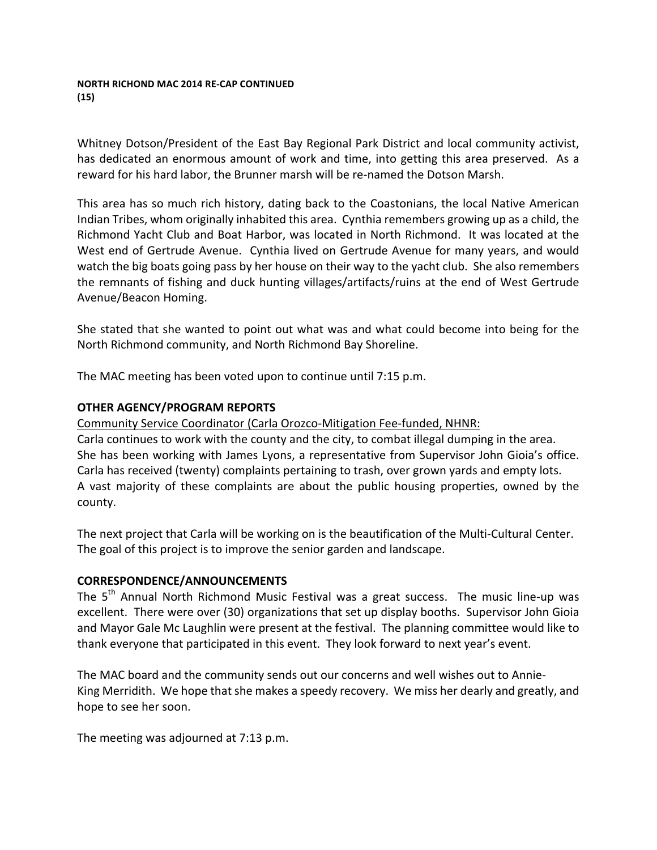#### **NORTH RICHOND MAC 2014 RE-CAP CONTINUED (15)**

Whitney Dotson/President of the East Bay Regional Park District and local community activist, has dedicated an enormous amount of work and time, into getting this area preserved. As a reward for his hard labor, the Brunner marsh will be re-named the Dotson Marsh.

This area has so much rich history, dating back to the Coastonians, the local Native American Indian Tribes, whom originally inhabited this area. Cynthia remembers growing up as a child, the Richmond Yacht Club and Boat Harbor, was located in North Richmond. It was located at the West end of Gertrude Avenue. Cynthia lived on Gertrude Avenue for many years, and would watch the big boats going pass by her house on their way to the yacht club. She also remembers the remnants of fishing and duck hunting villages/artifacts/ruins at the end of West Gertrude Avenue/Beacon Homing. 

She stated that she wanted to point out what was and what could become into being for the North Richmond community, and North Richmond Bay Shoreline.

The MAC meeting has been voted upon to continue until 7:15 p.m.

# **OTHER AGENCY/PROGRAM REPORTS**

Community Service Coordinator (Carla Orozco-Mitigation Fee-funded, NHNR:

Carla continues to work with the county and the city, to combat illegal dumping in the area. She has been working with James Lyons, a representative from Supervisor John Gioia's office. Carla has received (twenty) complaints pertaining to trash, over grown yards and empty lots. A vast majority of these complaints are about the public housing properties, owned by the county.

The next project that Carla will be working on is the beautification of the Multi-Cultural Center. The goal of this project is to improve the senior garden and landscape.

## **CORRESPONDENCE/ANNOUNCEMENTS**

The  $5<sup>th</sup>$  Annual North Richmond Music Festival was a great success. The music line-up was excellent. There were over (30) organizations that set up display booths. Supervisor John Gioia and Mayor Gale Mc Laughlin were present at the festival. The planning committee would like to thank everyone that participated in this event. They look forward to next year's event.

The MAC board and the community sends out our concerns and well wishes out to Annie-King Merridith. We hope that she makes a speedy recovery. We miss her dearly and greatly, and hope to see her soon.

The meeting was adjourned at 7:13 p.m.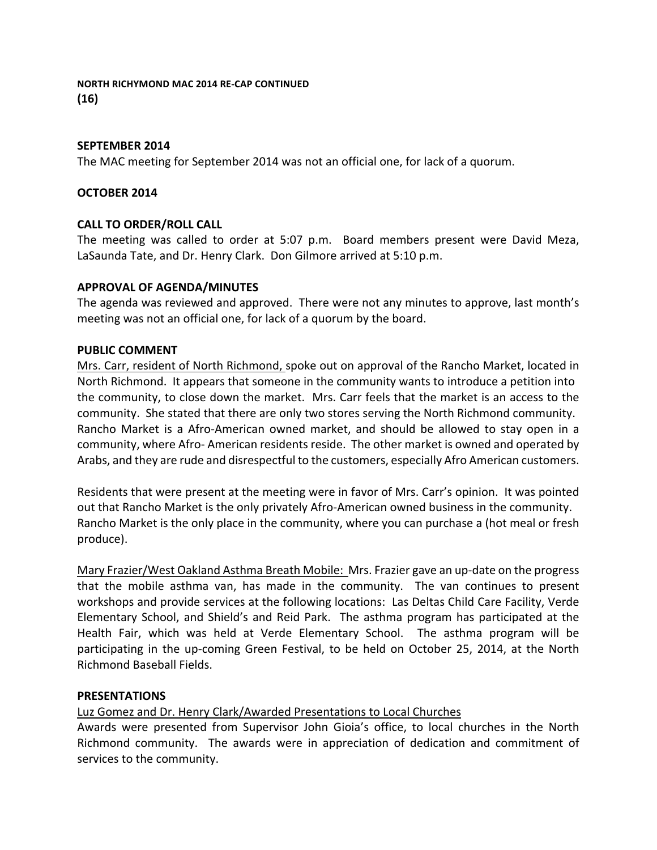# **SEPTEMBER 2014**

The MAC meeting for September 2014 was not an official one, for lack of a quorum.

## **OCTOBER 2014**

# **CALL TO ORDER/ROLL CALL**

The meeting was called to order at 5:07 p.m. Board members present were David Meza, LaSaunda Tate, and Dr. Henry Clark. Don Gilmore arrived at 5:10 p.m.

# **APPROVAL OF AGENDA/MINUTES**

The agenda was reviewed and approved. There were not any minutes to approve, last month's meeting was not an official one, for lack of a quorum by the board.

## **PUBLIC COMMENT**

Mrs. Carr, resident of North Richmond, spoke out on approval of the Rancho Market, located in North Richmond. It appears that someone in the community wants to introduce a petition into the community, to close down the market. Mrs. Carr feels that the market is an access to the community. She stated that there are only two stores serving the North Richmond community. Rancho Market is a Afro-American owned market, and should be allowed to stay open in a community, where Afro- American residents reside. The other market is owned and operated by Arabs, and they are rude and disrespectful to the customers, especially Afro American customers.

Residents that were present at the meeting were in favor of Mrs. Carr's opinion. It was pointed out that Rancho Market is the only privately Afro-American owned business in the community. Rancho Market is the only place in the community, where you can purchase a (hot meal or fresh produce). 

Mary Frazier/West Oakland Asthma Breath Mobile: Mrs. Frazier gave an up-date on the progress that the mobile asthma van, has made in the community. The van continues to present workshops and provide services at the following locations: Las Deltas Child Care Facility, Verde Elementary School, and Shield's and Reid Park. The asthma program has participated at the Health Fair, which was held at Verde Elementary School. The asthma program will be participating in the up-coming Green Festival, to be held on October 25, 2014, at the North Richmond Baseball Fields. 

## **PRESENTATIONS**

Luz Gomez and Dr. Henry Clark/Awarded Presentations to Local Churches

Awards were presented from Supervisor John Gioia's office, to local churches in the North Richmond community. The awards were in appreciation of dedication and commitment of services to the community.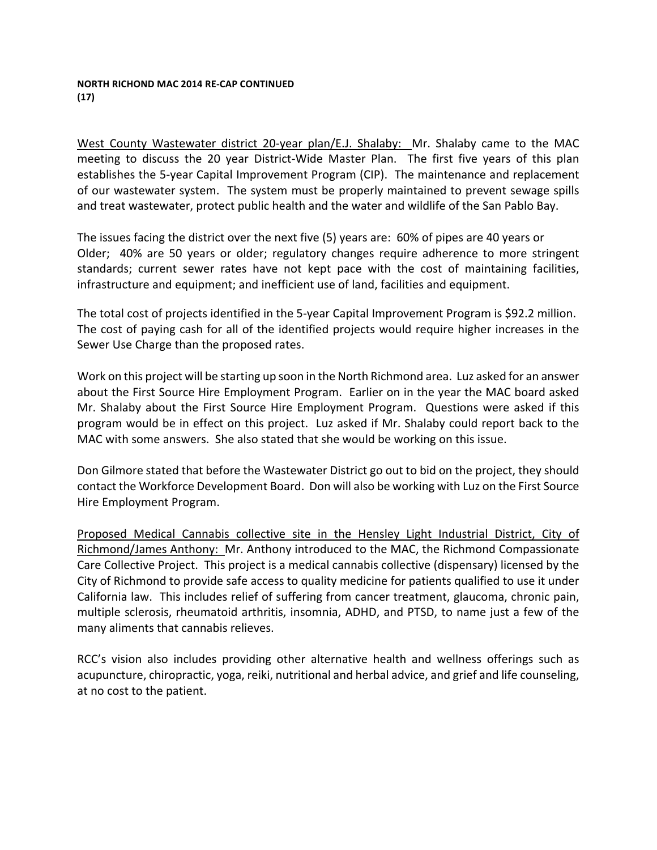#### **NORTH RICHOND MAC 2014 RE-CAP CONTINUED (17)**

West County Wastewater district 20-year plan/E.J. Shalaby: Mr. Shalaby came to the MAC meeting to discuss the 20 year District-Wide Master Plan. The first five years of this plan establishes the 5-year Capital Improvement Program (CIP). The maintenance and replacement of our wastewater system. The system must be properly maintained to prevent sewage spills and treat wastewater, protect public health and the water and wildlife of the San Pablo Bay.

The issues facing the district over the next five  $(5)$  years are:  $60\%$  of pipes are 40 years or Older; 40% are 50 years or older; regulatory changes require adherence to more stringent standards; current sewer rates have not kept pace with the cost of maintaining facilities, infrastructure and equipment; and inefficient use of land, facilities and equipment.

The total cost of projects identified in the 5-year Capital Improvement Program is \$92.2 million. The cost of paying cash for all of the identified projects would require higher increases in the Sewer Use Charge than the proposed rates.

Work on this project will be starting up soon in the North Richmond area. Luz asked for an answer about the First Source Hire Employment Program. Earlier on in the year the MAC board asked Mr. Shalaby about the First Source Hire Employment Program. Questions were asked if this program would be in effect on this project. Luz asked if Mr. Shalaby could report back to the MAC with some answers. She also stated that she would be working on this issue.

Don Gilmore stated that before the Wastewater District go out to bid on the project, they should contact the Workforce Development Board. Don will also be working with Luz on the First Source Hire Employment Program.

Proposed Medical Cannabis collective site in the Hensley Light Industrial District, City of Richmond/James Anthony: Mr. Anthony introduced to the MAC, the Richmond Compassionate Care Collective Project. This project is a medical cannabis collective (dispensary) licensed by the City of Richmond to provide safe access to quality medicine for patients qualified to use it under California law. This includes relief of suffering from cancer treatment, glaucoma, chronic pain, multiple sclerosis, rheumatoid arthritis, insomnia, ADHD, and PTSD, to name just a few of the many aliments that cannabis relieves.

RCC's vision also includes providing other alternative health and wellness offerings such as acupuncture, chiropractic, yoga, reiki, nutritional and herbal advice, and grief and life counseling, at no cost to the patient.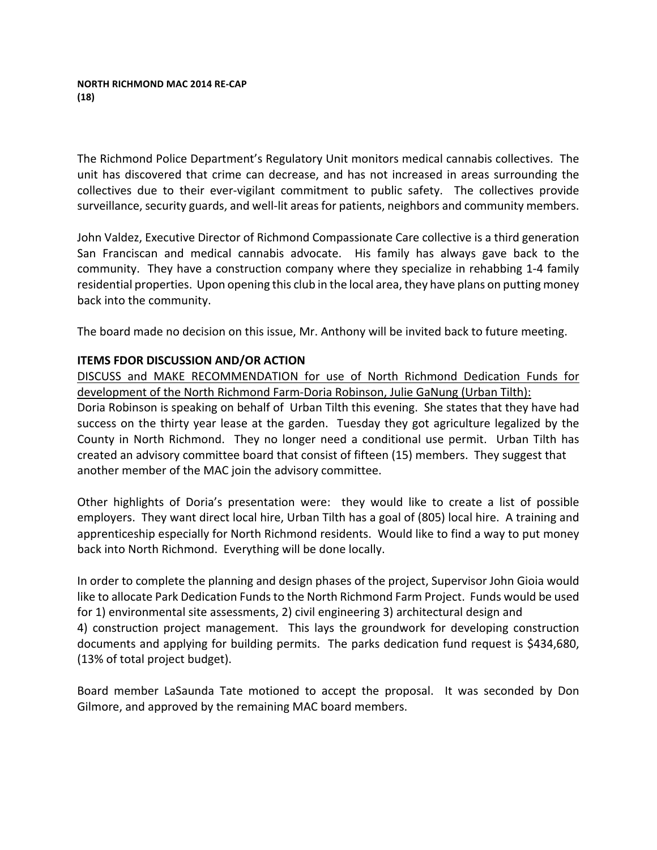#### **NORTH RICHMOND MAC 2014 RE-CAP (18)**

The Richmond Police Department's Regulatory Unit monitors medical cannabis collectives. The unit has discovered that crime can decrease, and has not increased in areas surrounding the collectives due to their ever-vigilant commitment to public safety. The collectives provide surveillance, security guards, and well-lit areas for patients, neighbors and community members.

John Valdez, Executive Director of Richmond Compassionate Care collective is a third generation San Franciscan and medical cannabis advocate. His family has always gave back to the community. They have a construction company where they specialize in rehabbing 1-4 family residential properties. Upon opening this club in the local area, they have plans on putting money back into the community.

The board made no decision on this issue, Mr. Anthony will be invited back to future meeting.

# **ITEMS FDOR DISCUSSION AND/OR ACTION**

DISCUSS and MAKE RECOMMENDATION for use of North Richmond Dedication Funds for development of the North Richmond Farm-Doria Robinson, Julie GaNung (Urban Tilth): Doria Robinson is speaking on behalf of Urban Tilth this evening. She states that they have had success on the thirty year lease at the garden. Tuesday they got agriculture legalized by the County in North Richmond. They no longer need a conditional use permit. Urban Tilth has created an advisory committee board that consist of fifteen (15) members. They suggest that another member of the MAC join the advisory committee.

Other highlights of Doria's presentation were: they would like to create a list of possible employers. They want direct local hire, Urban Tilth has a goal of (805) local hire. A training and apprenticeship especially for North Richmond residents. Would like to find a way to put money back into North Richmond. Everything will be done locally.

In order to complete the planning and design phases of the project, Supervisor John Gioia would like to allocate Park Dedication Funds to the North Richmond Farm Project. Funds would be used for 1) environmental site assessments, 2) civil engineering 3) architectural design and 4) construction project management. This lays the groundwork for developing construction documents and applying for building permits. The parks dedication fund request is \$434,680, (13% of total project budget).

Board member LaSaunda Tate motioned to accept the proposal. It was seconded by Don Gilmore, and approved by the remaining MAC board members.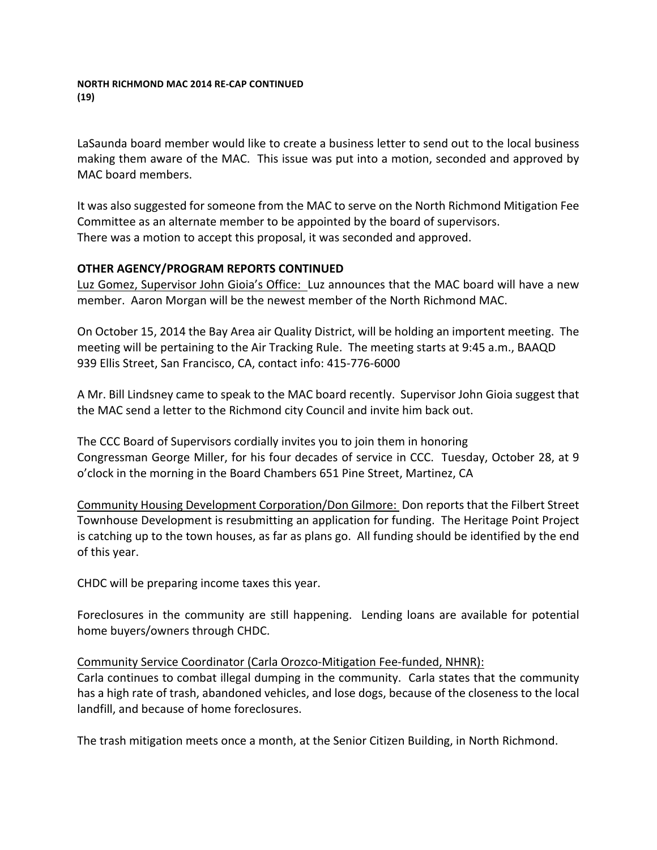#### **NORTH RICHMOND MAC 2014 RE-CAP CONTINUED (19)**

LaSaunda board member would like to create a business letter to send out to the local business making them aware of the MAC. This issue was put into a motion, seconded and approved by MAC board members.

It was also suggested for someone from the MAC to serve on the North Richmond Mitigation Fee Committee as an alternate member to be appointed by the board of supervisors. There was a motion to accept this proposal, it was seconded and approved.

# **OTHER AGENCY/PROGRAM REPORTS CONTINUED**

Luz Gomez, Supervisor John Gioia's Office: Luz announces that the MAC board will have a new member. Aaron Morgan will be the newest member of the North Richmond MAC.

On October 15, 2014 the Bay Area air Quality District, will be holding an importent meeting. The meeting will be pertaining to the Air Tracking Rule. The meeting starts at 9:45 a.m., BAAQD 939 Ellis Street, San Francisco, CA, contact info: 415-776-6000

A Mr. Bill Lindsney came to speak to the MAC board recently. Supervisor John Gioia suggest that the MAC send a letter to the Richmond city Council and invite him back out.

The CCC Board of Supervisors cordially invites you to join them in honoring Congressman George Miller, for his four decades of service in CCC. Tuesday, October 28, at 9 o'clock in the morning in the Board Chambers 651 Pine Street, Martinez, CA

Community Housing Development Corporation/Don Gilmore: Don reports that the Filbert Street Townhouse Development is resubmitting an application for funding. The Heritage Point Project is catching up to the town houses, as far as plans go. All funding should be identified by the end of this year.

CHDC will be preparing income taxes this year.

Foreclosures in the community are still happening. Lending loans are available for potential home buyers/owners through CHDC.

## Community Service Coordinator (Carla Orozco-Mitigation Fee-funded, NHNR):

Carla continues to combat illegal dumping in the community. Carla states that the community has a high rate of trash, abandoned vehicles, and lose dogs, because of the closeness to the local landfill, and because of home foreclosures.

The trash mitigation meets once a month, at the Senior Citizen Building, in North Richmond.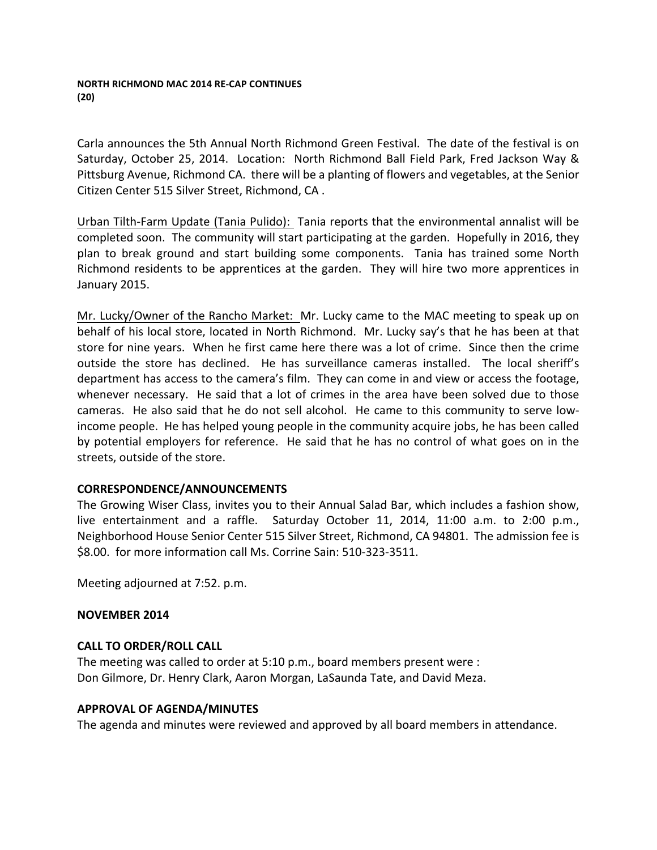Carla announces the 5th Annual North Richmond Green Festival. The date of the festival is on Saturday, October 25, 2014. Location: North Richmond Ball Field Park, Fred Jackson Way & Pittsburg Avenue, Richmond CA. there will be a planting of flowers and vegetables, at the Senior Citizen Center 515 Silver Street, Richmond, CA.

Urban Tilth-Farm Update (Tania Pulido): Tania reports that the environmental annalist will be completed soon. The community will start participating at the garden. Hopefully in 2016, they plan to break ground and start building some components. Tania has trained some North Richmond residents to be apprentices at the garden. They will hire two more apprentices in January 2015.

Mr. Lucky/Owner of the Rancho Market: Mr. Lucky came to the MAC meeting to speak up on behalf of his local store, located in North Richmond. Mr. Lucky say's that he has been at that store for nine years. When he first came here there was a lot of crime. Since then the crime outside the store has declined. He has surveillance cameras installed. The local sheriff's department has access to the camera's film. They can come in and view or access the footage. whenever necessary. He said that a lot of crimes in the area have been solved due to those cameras. He also said that he do not sell alcohol. He came to this community to serve lowincome people. He has helped young people in the community acquire jobs, he has been called by potential employers for reference. He said that he has no control of what goes on in the streets, outside of the store.

# **CORRESPONDENCE/ANNOUNCEMENTS**

The Growing Wiser Class, invites you to their Annual Salad Bar, which includes a fashion show, live entertainment and a raffle. Saturday October 11, 2014, 11:00 a.m. to 2:00 p.m., Neighborhood House Senior Center 515 Silver Street, Richmond, CA 94801. The admission fee is \$8.00. for more information call Ms. Corrine Sain: 510-323-3511.

Meeting adjourned at 7:52. p.m.

## **NOVEMBER 2014**

## **CALL TO ORDER/ROLL CALL**

The meeting was called to order at  $5:10$  p.m., board members present were : Don Gilmore, Dr. Henry Clark, Aaron Morgan, LaSaunda Tate, and David Meza.

## **APPROVAL OF AGENDA/MINUTES**

The agenda and minutes were reviewed and approved by all board members in attendance.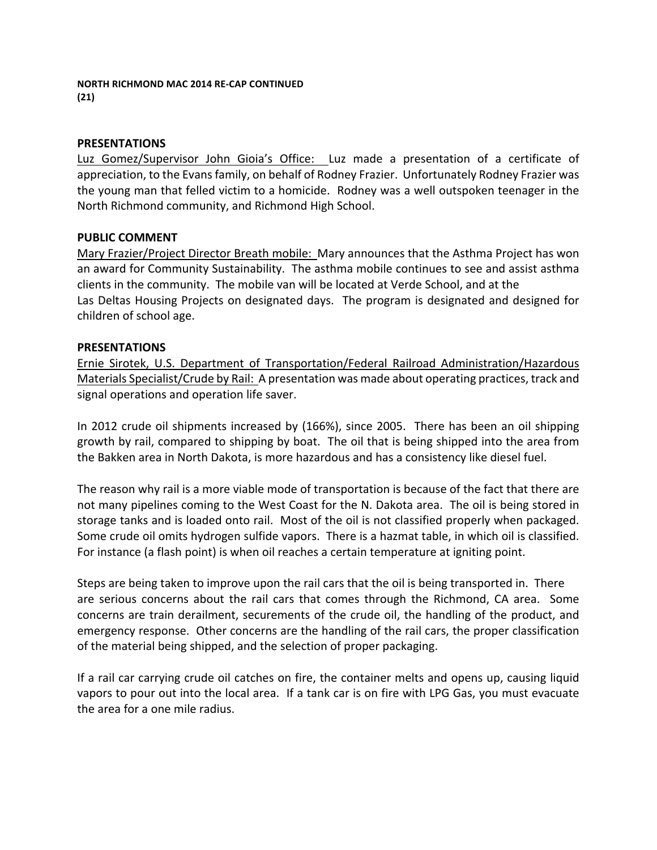#### **PRESENTATIONS**

Luz Gomez/Supervisor John Gioia's Office: Luz made a presentation of a certificate of appreciation, to the Evans family, on behalf of Rodney Frazier. Unfortunately Rodney Frazier was the young man that felled victim to a homicide. Rodney was a well outspoken teenager in the North Richmond community, and Richmond High School.

#### **PUBLIC COMMENT**

Mary Frazier/Project Director Breath mobile: Mary announces that the Asthma Project has won an award for Community Sustainability. The asthma mobile continues to see and assist asthma clients in the community. The mobile van will be located at Verde School, and at the Las Deltas Housing Projects on designated days. The program is designated and designed for children of school age.

#### **PRESENTATIONS**

Ernie Sirotek, U.S. Department of Transportation/Federal Railroad Administration/Hazardous Materials Specialist/Crude by Rail: A presentation was made about operating practices, track and signal operations and operation life saver.

In 2012 crude oil shipments increased by (166%), since 2005. There has been an oil shipping growth by rail, compared to shipping by boat. The oil that is being shipped into the area from the Bakken area in North Dakota, is more hazardous and has a consistency like diesel fuel.

The reason why rail is a more viable mode of transportation is because of the fact that there are not many pipelines coming to the West Coast for the N. Dakota area. The oil is being stored in storage tanks and is loaded onto rail. Most of the oil is not classified properly when packaged. Some crude oil omits hydrogen sulfide vapors. There is a hazmat table, in which oil is classified. For instance (a flash point) is when oil reaches a certain temperature at igniting point.

Steps are being taken to improve upon the rail cars that the oil is being transported in. There are serious concerns about the rail cars that comes through the Richmond, CA area. Some concerns are train derailment, securements of the crude oil, the handling of the product, and emergency response. Other concerns are the handling of the rail cars, the proper classification of the material being shipped, and the selection of proper packaging.

If a rail car carrying crude oil catches on fire, the container melts and opens up, causing liquid vapors to pour out into the local area. If a tank car is on fire with LPG Gas, you must evacuate the area for a one mile radius.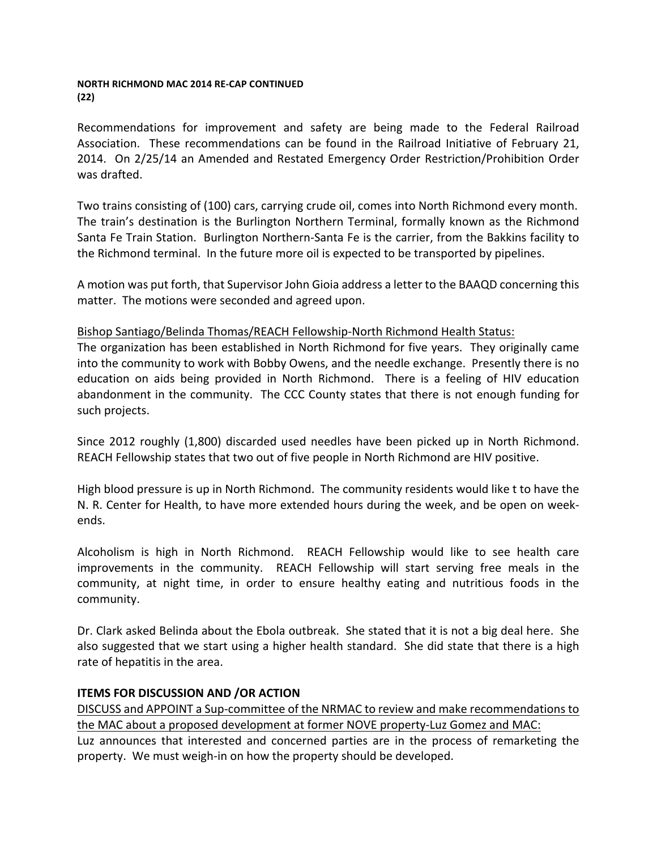#### **NORTH RICHMOND MAC 2014 RE-CAP CONTINUED (22)**

Recommendations for improvement and safety are being made to the Federal Railroad Association. These recommendations can be found in the Railroad Initiative of February 21, 2014. On 2/25/14 an Amended and Restated Emergency Order Restriction/Prohibition Order was drafted.

Two trains consisting of (100) cars, carrying crude oil, comes into North Richmond every month. The train's destination is the Burlington Northern Terminal, formally known as the Richmond Santa Fe Train Station. Burlington Northern-Santa Fe is the carrier, from the Bakkins facility to the Richmond terminal. In the future more oil is expected to be transported by pipelines.

A motion was put forth, that Supervisor John Gioia address a letter to the BAAQD concerning this matter. The motions were seconded and agreed upon.

Bishop Santiago/Belinda Thomas/REACH Fellowship-North Richmond Health Status:

The organization has been established in North Richmond for five years. They originally came into the community to work with Bobby Owens, and the needle exchange. Presently there is no education on aids being provided in North Richmond. There is a feeling of HIV education abandonment in the community. The CCC County states that there is not enough funding for such projects.

Since 2012 roughly (1,800) discarded used needles have been picked up in North Richmond. REACH Fellowship states that two out of five people in North Richmond are HIV positive.

High blood pressure is up in North Richmond. The community residents would like t to have the N. R. Center for Health, to have more extended hours during the week, and be open on weekends.

Alcoholism is high in North Richmond. REACH Fellowship would like to see health care improvements in the community. REACH Fellowship will start serving free meals in the community, at night time, in order to ensure healthy eating and nutritious foods in the community.

Dr. Clark asked Belinda about the Ebola outbreak. She stated that it is not a big deal here. She also suggested that we start using a higher health standard. She did state that there is a high rate of hepatitis in the area.

# **ITEMS FOR DISCUSSION AND /OR ACTION**

DISCUSS and APPOINT a Sup-committee of the NRMAC to review and make recommendations to the MAC about a proposed development at former NOVE property-Luz Gomez and MAC: Luz announces that interested and concerned parties are in the process of remarketing the property. We must weigh-in on how the property should be developed.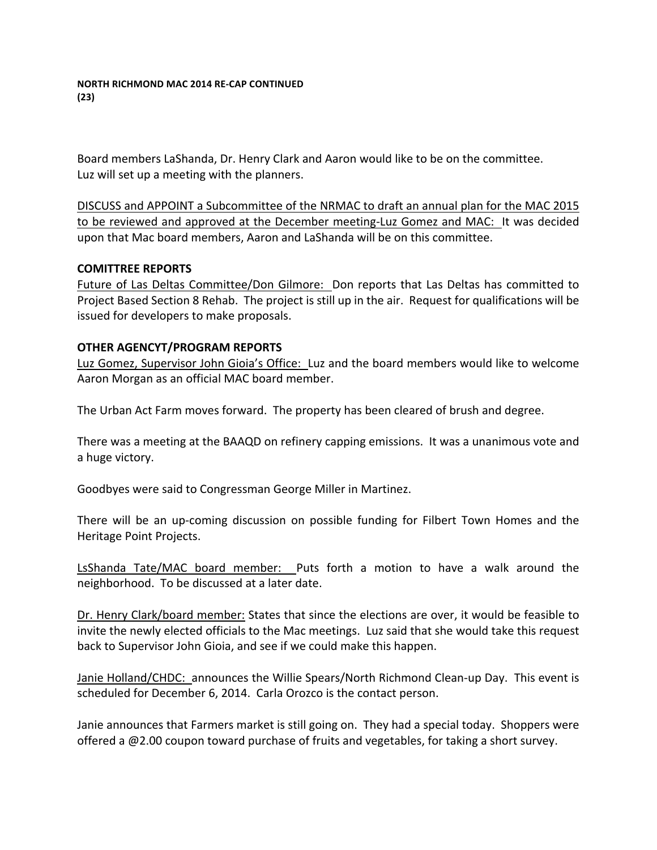Board members LaShanda, Dr. Henry Clark and Aaron would like to be on the committee. Luz will set up a meeting with the planners.

DISCUSS and APPOINT a Subcommittee of the NRMAC to draft an annual plan for the MAC 2015 to be reviewed and approved at the December meeting-Luz Gomez and MAC: It was decided upon that Mac board members, Aaron and LaShanda will be on this committee.

## **COMITTREE REPORTS**

Future of Las Deltas Committee/Don Gilmore: Don reports that Las Deltas has committed to Project Based Section 8 Rehab. The project is still up in the air. Request for qualifications will be issued for developers to make proposals.

## **OTHER AGENCYT/PROGRAM REPORTS**

Luz Gomez, Supervisor John Gioia's Office: Luz and the board members would like to welcome Aaron Morgan as an official MAC board member.

The Urban Act Farm moves forward. The property has been cleared of brush and degree.

There was a meeting at the BAAQD on refinery capping emissions. It was a unanimous vote and a huge victory.

Goodbyes were said to Congressman George Miller in Martinez.

There will be an up-coming discussion on possible funding for Filbert Town Homes and the Heritage Point Projects.

LsShanda Tate/MAC board member: Puts forth a motion to have a walk around the neighborhood. To be discussed at a later date.

Dr. Henry Clark/board member: States that since the elections are over, it would be feasible to invite the newly elected officials to the Mac meetings. Luz said that she would take this request back to Supervisor John Gioia, and see if we could make this happen.

Janie Holland/CHDC: announces the Willie Spears/North Richmond Clean-up Day. This event is scheduled for December 6, 2014. Carla Orozco is the contact person.

Janie announces that Farmers market is still going on. They had a special today. Shoppers were offered a  $@2.00$  coupon toward purchase of fruits and vegetables, for taking a short survey.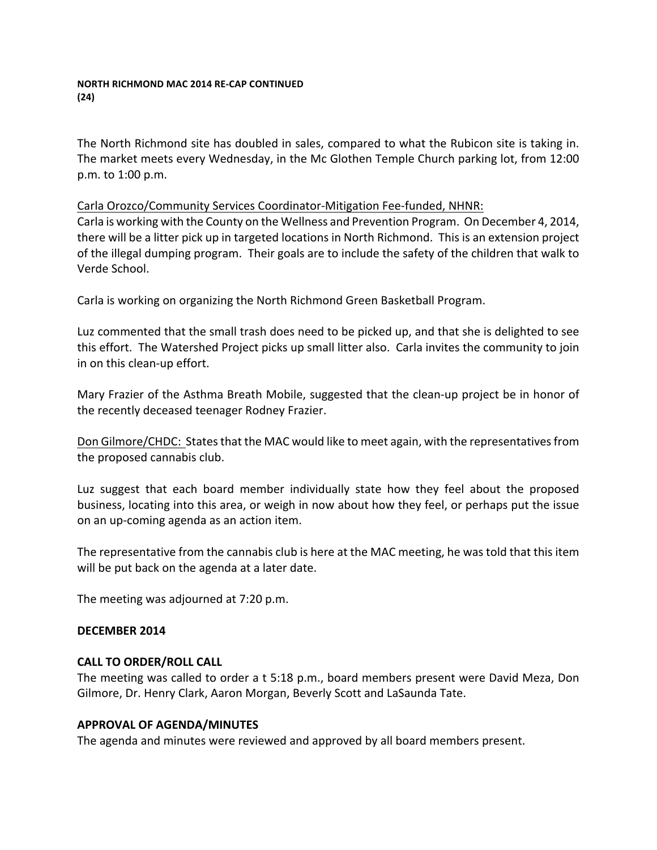#### **NORTH RICHMOND MAC 2014 RE-CAP CONTINUED (24)**

The North Richmond site has doubled in sales, compared to what the Rubicon site is taking in. The market meets every Wednesday, in the Mc Glothen Temple Church parking lot, from 12:00 p.m. to 1:00 p.m.

# Carla Orozco/Community Services Coordinator-Mitigation Fee-funded, NHNR:

Carla is working with the County on the Wellness and Prevention Program. On December 4, 2014, there will be a litter pick up in targeted locations in North Richmond. This is an extension project of the illegal dumping program. Their goals are to include the safety of the children that walk to Verde School.

Carla is working on organizing the North Richmond Green Basketball Program.

Luz commented that the small trash does need to be picked up, and that she is delighted to see this effort. The Watershed Project picks up small litter also. Carla invites the community to join in on this clean-up effort.

Mary Frazier of the Asthma Breath Mobile, suggested that the clean-up project be in honor of the recently deceased teenager Rodney Frazier.

Don Gilmore/CHDC: States that the MAC would like to meet again, with the representatives from the proposed cannabis club.

Luz suggest that each board member individually state how they feel about the proposed business, locating into this area, or weigh in now about how they feel, or perhaps put the issue on an up-coming agenda as an action item.

The representative from the cannabis club is here at the MAC meeting, he was told that this item will be put back on the agenda at a later date.

The meeting was adjourned at 7:20 p.m.

## **DECEMBER 2014**

## **CALL TO ORDER/ROLL CALL**

The meeting was called to order a t 5:18 p.m., board members present were David Meza, Don Gilmore, Dr. Henry Clark, Aaron Morgan, Beverly Scott and LaSaunda Tate.

## **APPROVAL OF AGENDA/MINUTES**

The agenda and minutes were reviewed and approved by all board members present.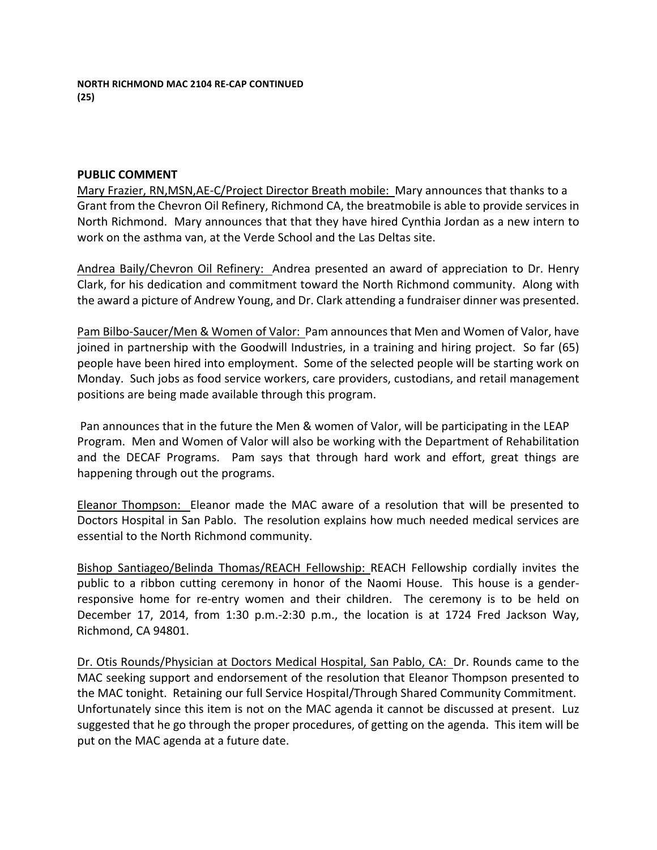**NORTH RICHMOND MAC 2104 RE-CAP CONTINUED (25)**

#### **PUBLIC COMMENT**

Mary Frazier, RN,MSN,AE-C/Project Director Breath mobile: Mary announces that thanks to a Grant from the Chevron Oil Refinery, Richmond CA, the breatmobile is able to provide services in North Richmond. Mary announces that that they have hired Cynthia Jordan as a new intern to work on the asthma van, at the Verde School and the Las Deltas site.

Andrea Baily/Chevron Oil Refinery: Andrea presented an award of appreciation to Dr. Henry Clark, for his dedication and commitment toward the North Richmond community. Along with the award a picture of Andrew Young, and Dr. Clark attending a fundraiser dinner was presented.

Pam Bilbo-Saucer/Men & Women of Valor: Pam announces that Men and Women of Valor, have joined in partnership with the Goodwill Industries, in a training and hiring project. So far (65) people have been hired into employment. Some of the selected people will be starting work on Monday. Such jobs as food service workers, care providers, custodians, and retail management positions are being made available through this program.

Pan announces that in the future the Men & women of Valor, will be participating in the LEAP Program. Men and Women of Valor will also be working with the Department of Rehabilitation and the DECAF Programs. Pam says that through hard work and effort, great things are happening through out the programs.

Eleanor Thompson: Eleanor made the MAC aware of a resolution that will be presented to Doctors Hospital in San Pablo. The resolution explains how much needed medical services are essential to the North Richmond community.

Bishop Santiageo/Belinda Thomas/REACH Fellowship: REACH Fellowship cordially invites the public to a ribbon cutting ceremony in honor of the Naomi House. This house is a genderresponsive home for re-entry women and their children. The ceremony is to be held on December 17, 2014, from 1:30 p.m.-2:30 p.m., the location is at 1724 Fred Jackson Way, Richmond, CA 94801.

Dr. Otis Rounds/Physician at Doctors Medical Hospital, San Pablo, CA: Dr. Rounds came to the MAC seeking support and endorsement of the resolution that Eleanor Thompson presented to the MAC tonight. Retaining our full Service Hospital/Through Shared Community Commitment. Unfortunately since this item is not on the MAC agenda it cannot be discussed at present. Luz suggested that he go through the proper procedures, of getting on the agenda. This item will be put on the MAC agenda at a future date.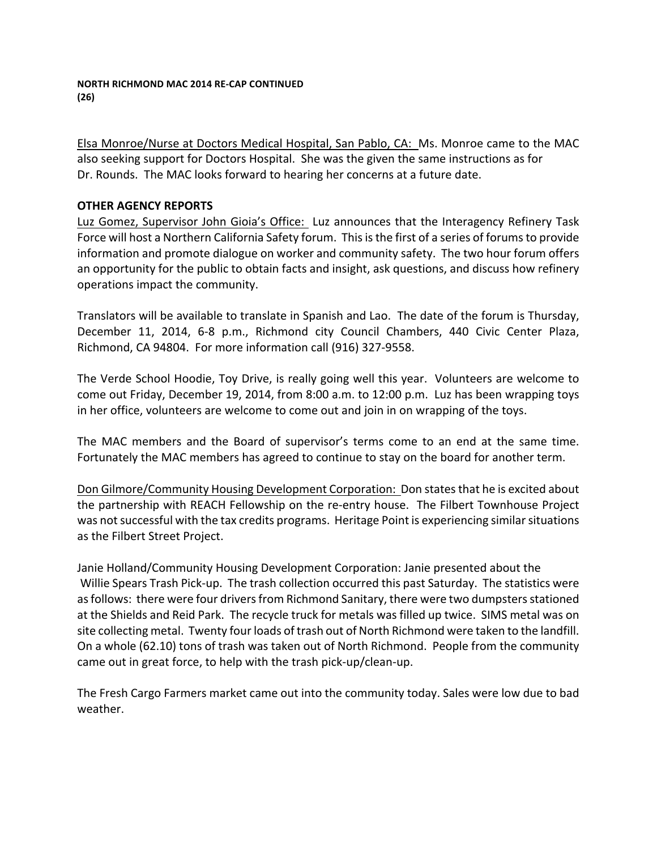Elsa Monroe/Nurse at Doctors Medical Hospital, San Pablo, CA: Ms. Monroe came to the MAC also seeking support for Doctors Hospital. She was the given the same instructions as for Dr. Rounds. The MAC looks forward to hearing her concerns at a future date.

# **OTHER AGENCY REPORTS**

Luz Gomez, Supervisor John Gioia's Office: Luz announces that the Interagency Refinery Task Force will host a Northern California Safety forum. This is the first of a series of forums to provide information and promote dialogue on worker and community safety. The two hour forum offers an opportunity for the public to obtain facts and insight, ask questions, and discuss how refinery operations impact the community.

Translators will be available to translate in Spanish and Lao. The date of the forum is Thursday, December 11, 2014, 6-8 p.m., Richmond city Council Chambers, 440 Civic Center Plaza, Richmond, CA 94804. For more information call (916) 327-9558.

The Verde School Hoodie, Toy Drive, is really going well this year. Volunteers are welcome to come out Friday, December 19, 2014, from 8:00 a.m. to 12:00 p.m. Luz has been wrapping toys in her office, volunteers are welcome to come out and join in on wrapping of the toys.

The MAC members and the Board of supervisor's terms come to an end at the same time. Fortunately the MAC members has agreed to continue to stay on the board for another term.

Don Gilmore/Community Housing Development Corporation: Don states that he is excited about the partnership with REACH Fellowship on the re-entry house. The Filbert Townhouse Project was not successful with the tax credits programs. Heritage Point is experiencing similar situations as the Filbert Street Project.

Janie Holland/Community Housing Development Corporation: Janie presented about the Willie Spears Trash Pick-up. The trash collection occurred this past Saturday. The statistics were as follows: there were four drivers from Richmond Sanitary, there were two dumpsters stationed at the Shields and Reid Park. The recycle truck for metals was filled up twice. SIMS metal was on site collecting metal. Twenty four loads of trash out of North Richmond were taken to the landfill. On a whole (62.10) tons of trash was taken out of North Richmond. People from the community came out in great force, to help with the trash pick-up/clean-up.

The Fresh Cargo Farmers market came out into the community today. Sales were low due to bad weather.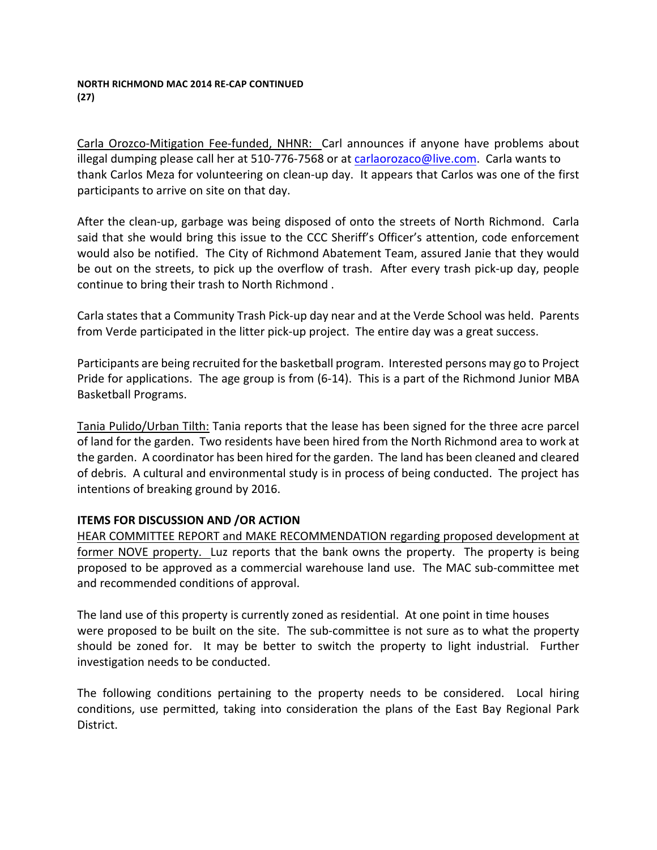#### **NORTH RICHMOND MAC 2014 RE-CAP CONTINUED (27)**

Carla Orozco-Mitigation Fee-funded, NHNR: Carl announces if anyone have problems about illegal dumping please call her at 510-776-7568 or at carlaorozaco@live.com. Carla wants to thank Carlos Meza for volunteering on clean-up day. It appears that Carlos was one of the first participants to arrive on site on that day.

After the clean-up, garbage was being disposed of onto the streets of North Richmond. Carla said that she would bring this issue to the CCC Sheriff's Officer's attention, code enforcement would also be notified. The City of Richmond Abatement Team, assured Janie that they would be out on the streets, to pick up the overflow of trash. After every trash pick-up day, people continue to bring their trash to North Richmond.

Carla states that a Community Trash Pick-up day near and at the Verde School was held. Parents from Verde participated in the litter pick-up project. The entire day was a great success.

Participants are being recruited for the basketball program. Interested persons may go to Project Pride for applications. The age group is from  $(6-14)$ . This is a part of the Richmond Junior MBA Basketball Programs.

Tania Pulido/Urban Tilth: Tania reports that the lease has been signed for the three acre parcel of land for the garden. Two residents have been hired from the North Richmond area to work at the garden. A coordinator has been hired for the garden. The land has been cleaned and cleared of debris. A cultural and environmental study is in process of being conducted. The project has intentions of breaking ground by 2016.

## **ITEMS FOR DISCUSSION AND /OR ACTION**

HEAR COMMITTEE REPORT and MAKE RECOMMENDATION regarding proposed development at former NOVE property. Luz reports that the bank owns the property. The property is being proposed to be approved as a commercial warehouse land use. The MAC sub-committee met and recommended conditions of approval.

The land use of this property is currently zoned as residential. At one point in time houses were proposed to be built on the site. The sub-committee is not sure as to what the property should be zoned for. It may be better to switch the property to light industrial. Further investigation needs to be conducted.

The following conditions pertaining to the property needs to be considered. Local hiring conditions, use permitted, taking into consideration the plans of the East Bay Regional Park District.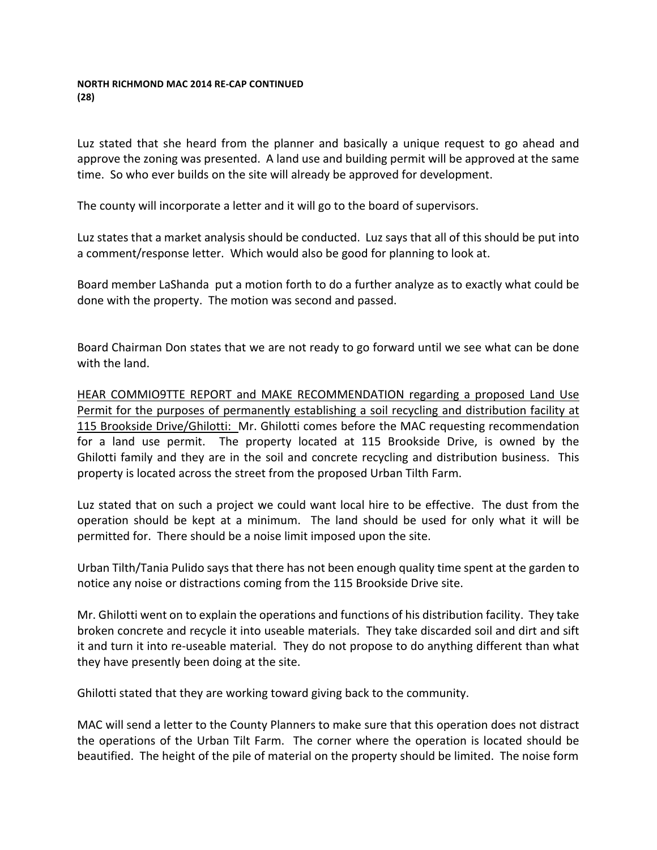#### **NORTH RICHMOND MAC 2014 RE-CAP CONTINUED (28)**

Luz stated that she heard from the planner and basically a unique request to go ahead and approve the zoning was presented. A land use and building permit will be approved at the same time. So who ever builds on the site will already be approved for development.

The county will incorporate a letter and it will go to the board of supervisors.

Luz states that a market analysis should be conducted. Luz says that all of this should be put into a comment/response letter. Which would also be good for planning to look at.

Board member LaShanda put a motion forth to do a further analyze as to exactly what could be done with the property. The motion was second and passed.

Board Chairman Don states that we are not ready to go forward until we see what can be done with the land.

HEAR COMMIO9TTE REPORT and MAKE RECOMMENDATION regarding a proposed Land Use Permit for the purposes of permanently establishing a soil recycling and distribution facility at 115 Brookside Drive/Ghilotti: Mr. Ghilotti comes before the MAC requesting recommendation for a land use permit. The property located at 115 Brookside Drive, is owned by the Ghilotti family and they are in the soil and concrete recycling and distribution business. This property is located across the street from the proposed Urban Tilth Farm.

Luz stated that on such a project we could want local hire to be effective. The dust from the operation should be kept at a minimum. The land should be used for only what it will be permitted for. There should be a noise limit imposed upon the site.

Urban Tilth/Tania Pulido says that there has not been enough quality time spent at the garden to notice any noise or distractions coming from the 115 Brookside Drive site.

Mr. Ghilotti went on to explain the operations and functions of his distribution facility. They take broken concrete and recycle it into useable materials. They take discarded soil and dirt and sift it and turn it into re-useable material. They do not propose to do anything different than what they have presently been doing at the site.

Ghilotti stated that they are working toward giving back to the community.

MAC will send a letter to the County Planners to make sure that this operation does not distract the operations of the Urban Tilt Farm. The corner where the operation is located should be beautified. The height of the pile of material on the property should be limited. The noise form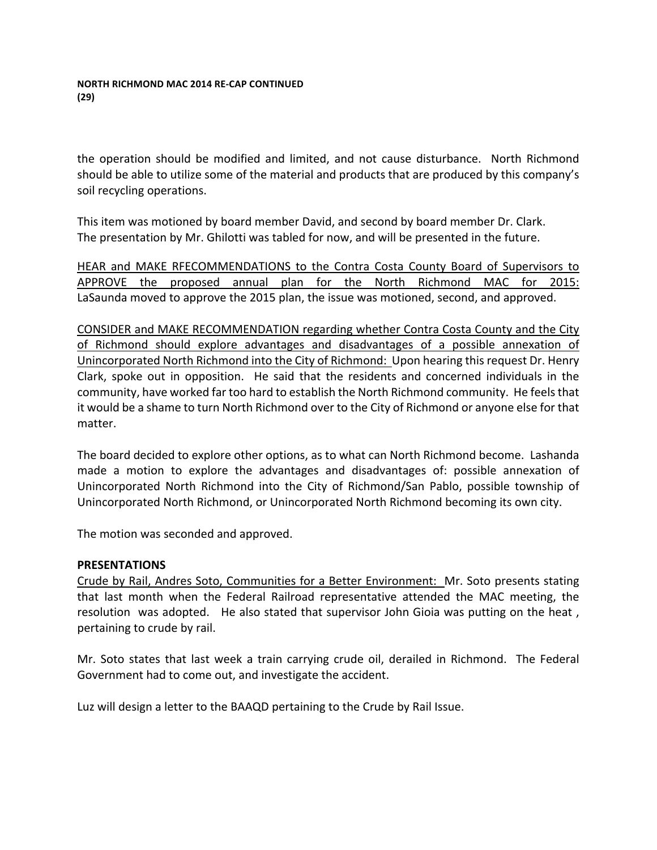the operation should be modified and limited, and not cause disturbance. North Richmond should be able to utilize some of the material and products that are produced by this company's soil recycling operations.

This item was motioned by board member David, and second by board member Dr. Clark. The presentation by Mr. Ghilotti was tabled for now, and will be presented in the future.

HEAR and MAKE RFECOMMENDATIONS to the Contra Costa County Board of Supervisors to APPROVE the proposed annual plan for the North Richmond MAC for 2015: LaSaunda moved to approve the 2015 plan, the issue was motioned, second, and approved.

CONSIDER and MAKE RECOMMENDATION regarding whether Contra Costa County and the City of Richmond should explore advantages and disadvantages of a possible annexation of Unincorporated North Richmond into the City of Richmond: Upon hearing this request Dr. Henry Clark, spoke out in opposition. He said that the residents and concerned individuals in the community, have worked far too hard to establish the North Richmond community. He feels that it would be a shame to turn North Richmond over to the City of Richmond or anyone else for that matter. 

The board decided to explore other options, as to what can North Richmond become. Lashanda made a motion to explore the advantages and disadvantages of: possible annexation of Unincorporated North Richmond into the City of Richmond/San Pablo, possible township of Unincorporated North Richmond, or Unincorporated North Richmond becoming its own city.

The motion was seconded and approved.

## **PRESENTATIONS**

Crude by Rail, Andres Soto, Communities for a Better Environment: Mr. Soto presents stating that last month when the Federal Railroad representative attended the MAC meeting, the resolution was adopted. He also stated that supervisor John Gioia was putting on the heat, pertaining to crude by rail.

Mr. Soto states that last week a train carrying crude oil, derailed in Richmond. The Federal Government had to come out, and investigate the accident.

Luz will design a letter to the BAAQD pertaining to the Crude by Rail Issue.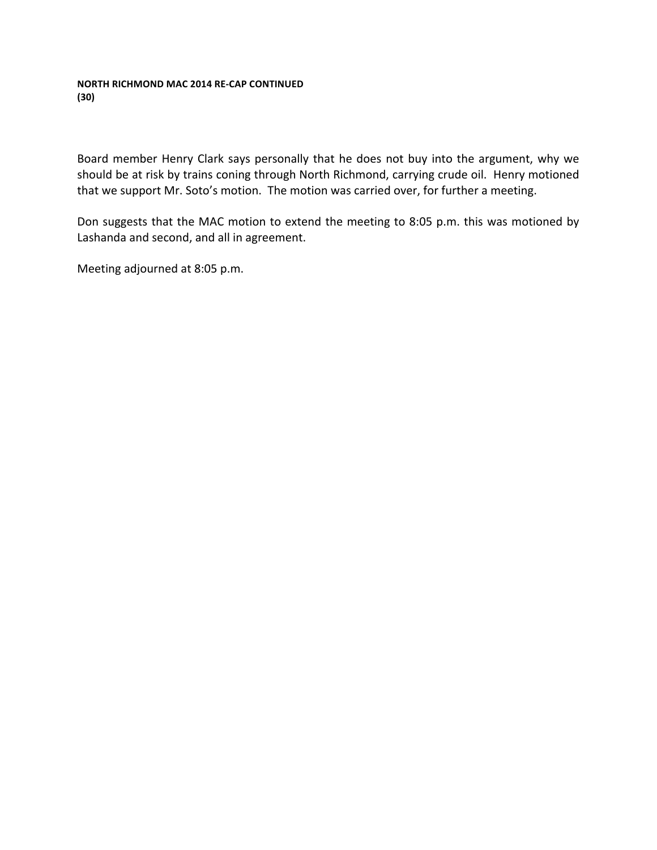## **NORTH RICHMOND MAC 2014 RE-CAP CONTINUED (30)**

Board member Henry Clark says personally that he does not buy into the argument, why we should be at risk by trains coning through North Richmond, carrying crude oil. Henry motioned that we support Mr. Soto's motion. The motion was carried over, for further a meeting.

Don suggests that the MAC motion to extend the meeting to 8:05 p.m. this was motioned by Lashanda and second, and all in agreement.

Meeting adjourned at 8:05 p.m.